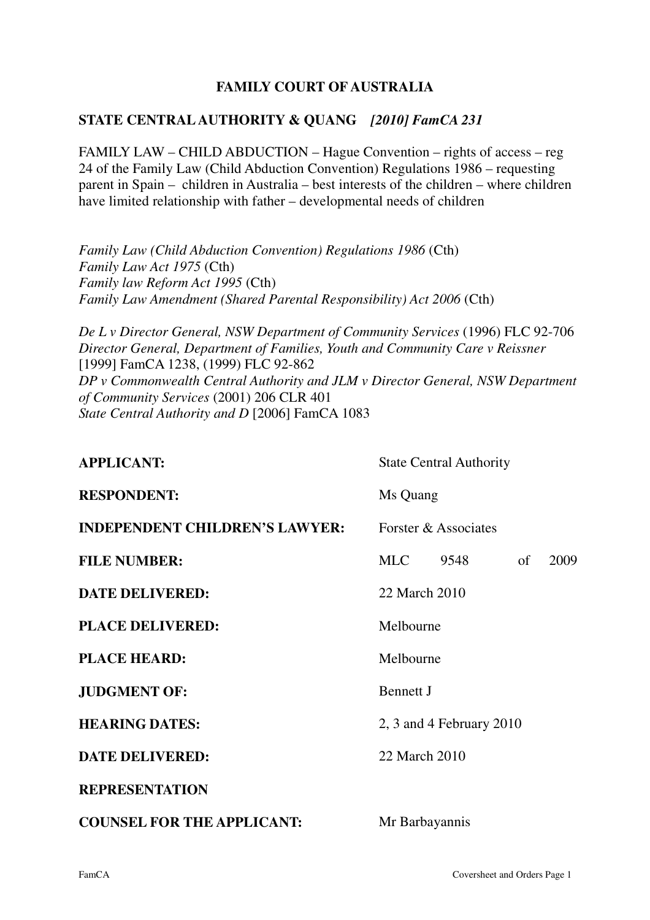## **FAMILY COURT OF AUSTRALIA**

#### **STATE CENTRAL AUTHORITY & QUANG** *[2010] FamCA 231*

FAMILY LAW – CHILD ABDUCTION – Hague Convention – rights of access – reg 24 of the Family Law (Child Abduction Convention) Regulations 1986 – requesting parent in Spain – children in Australia – best interests of the children – where children have limited relationship with father – developmental needs of children

*Family Law (Child Abduction Convention) Regulations 1986* (Cth) *Family Law Act 1975* (Cth) *Family law Reform Act 1995* (Cth) *Family Law Amendment (Shared Parental Responsibility) Act 2006* (Cth)

*De L v Director General, NSW Department of Community Services* (1996) FLC 92-706 *Director General, Department of Families, Youth and Community Care v Reissner*  [1999] FamCA 1238, (1999) FLC 92-862 *DP v Commonwealth Central Authority and JLM v Director General, NSW Department of Community Services* (2001) 206 CLR 401 *State Central Authority and D* [2006] FamCA 1083

| <b>APPLICANT:</b>                     | <b>State Central Authority</b> |      |    |      |
|---------------------------------------|--------------------------------|------|----|------|
| <b>RESPONDENT:</b>                    | Ms Quang                       |      |    |      |
| <b>INDEPENDENT CHILDREN'S LAWYER:</b> | Forster & Associates           |      |    |      |
| <b>FILE NUMBER:</b>                   | <b>MLC</b>                     | 9548 | of | 2009 |
| <b>DATE DELIVERED:</b>                | 22 March 2010                  |      |    |      |
| <b>PLACE DELIVERED:</b>               | Melbourne                      |      |    |      |
| <b>PLACE HEARD:</b>                   | Melbourne                      |      |    |      |
| <b>JUDGMENT OF:</b>                   | <b>Bennett J</b>               |      |    |      |
| <b>HEARING DATES:</b>                 | 2, 3 and 4 February 2010       |      |    |      |
| <b>DATE DELIVERED:</b>                | 22 March 2010                  |      |    |      |
| <b>REPRESENTATION</b>                 |                                |      |    |      |
| <b>COUNSEL FOR THE APPLICANT:</b>     | Mr Barbayannis                 |      |    |      |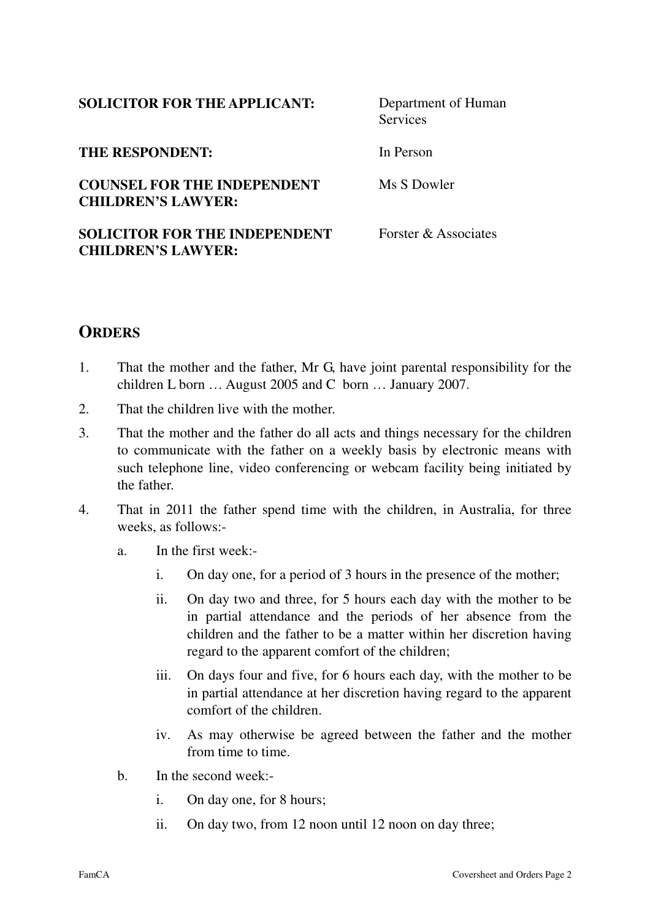## **SOLICITOR FOR THE APPLICANT:** Department of Human

**Services** 

#### **THE RESPONDENT:** In Person

Ms S Dowler

**COUNSEL FOR THE INDEPENDENT CHILDREN'S LAWYER:** 

#### **SOLICITOR FOR THE INDEPENDENT CHILDREN'S LAWYER:**

Forster & Associates

# **ORDERS**

- 1. That the mother and the father, Mr G, have joint parental responsibility for the children L born … August 2005 and C born … January 2007.
- 2. That the children live with the mother.
- 3. That the mother and the father do all acts and things necessary for the children to communicate with the father on a weekly basis by electronic means with such telephone line, video conferencing or webcam facility being initiated by the father.
- 4. That in 2011 the father spend time with the children, in Australia, for three weeks, as follows:
	- a. In the first week:
		- i. On day one, for a period of 3 hours in the presence of the mother;
		- ii. On day two and three, for 5 hours each day with the mother to be in partial attendance and the periods of her absence from the children and the father to be a matter within her discretion having regard to the apparent comfort of the children;
		- iii. On days four and five, for 6 hours each day, with the mother to be in partial attendance at her discretion having regard to the apparent comfort of the children.
		- iv. As may otherwise be agreed between the father and the mother from time to time.
	- b. In the second week:
		- i. On day one, for 8 hours;
		- ii. On day two, from 12 noon until 12 noon on day three;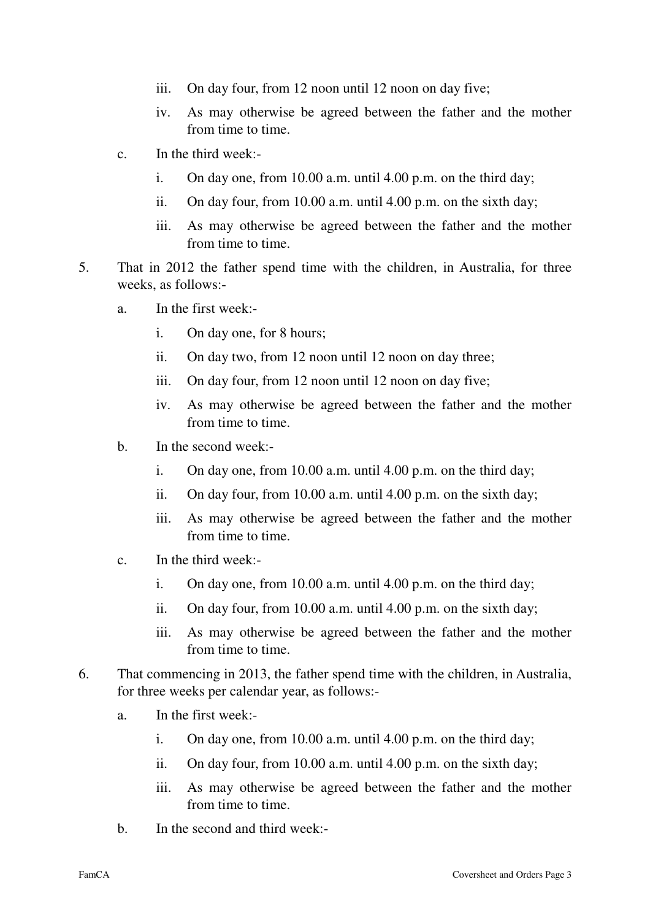- iii. On day four, from 12 noon until 12 noon on day five;
- iv. As may otherwise be agreed between the father and the mother from time to time.
- c. In the third week:
	- i. On day one, from 10.00 a.m. until 4.00 p.m. on the third day;
	- ii. On day four, from 10.00 a.m. until 4.00 p.m. on the sixth day;
	- iii. As may otherwise be agreed between the father and the mother from time to time.
- 5. That in 2012 the father spend time with the children, in Australia, for three weeks, as follows:
	- a. In the first week:
		- i. On day one, for 8 hours;
		- ii. On day two, from 12 noon until 12 noon on day three;
		- iii. On day four, from 12 noon until 12 noon on day five;
		- iv. As may otherwise be agreed between the father and the mother from time to time.
	- b. In the second week:
		- i. On day one, from 10.00 a.m. until 4.00 p.m. on the third day;
		- ii. On day four, from 10.00 a.m. until 4.00 p.m. on the sixth day;
		- iii. As may otherwise be agreed between the father and the mother from time to time.
	- c. In the third week:
		- i. On day one, from 10.00 a.m. until 4.00 p.m. on the third day;
		- ii. On day four, from 10.00 a.m. until 4.00 p.m. on the sixth day;
		- iii. As may otherwise be agreed between the father and the mother from time to time.
- 6. That commencing in 2013, the father spend time with the children, in Australia, for three weeks per calendar year, as follows:
	- a. In the first week:
		- i. On day one, from 10.00 a.m. until 4.00 p.m. on the third day;
		- ii. On day four, from 10.00 a.m. until 4.00 p.m. on the sixth day;
		- iii. As may otherwise be agreed between the father and the mother from time to time.
	- b. In the second and third week:-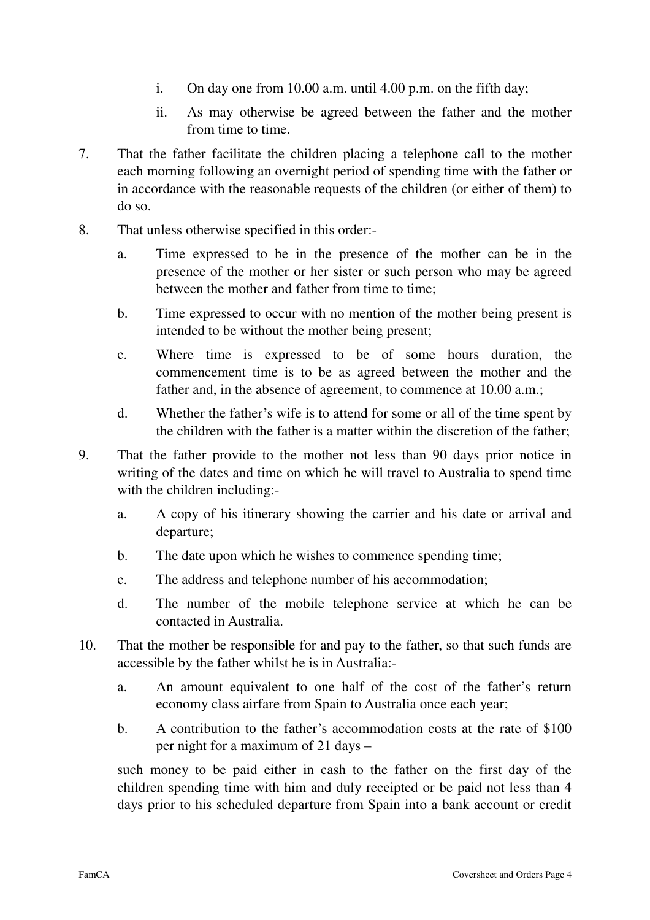- i. On day one from 10.00 a.m. until 4.00 p.m. on the fifth day;
- ii. As may otherwise be agreed between the father and the mother from time to time.
- 7. That the father facilitate the children placing a telephone call to the mother each morning following an overnight period of spending time with the father or in accordance with the reasonable requests of the children (or either of them) to do so.
- 8. That unless otherwise specified in this order:
	- a. Time expressed to be in the presence of the mother can be in the presence of the mother or her sister or such person who may be agreed between the mother and father from time to time;
	- b. Time expressed to occur with no mention of the mother being present is intended to be without the mother being present;
	- c. Where time is expressed to be of some hours duration, the commencement time is to be as agreed between the mother and the father and, in the absence of agreement, to commence at 10.00 a.m.;
	- d. Whether the father's wife is to attend for some or all of the time spent by the children with the father is a matter within the discretion of the father;
- 9. That the father provide to the mother not less than 90 days prior notice in writing of the dates and time on which he will travel to Australia to spend time with the children including:
	- a. A copy of his itinerary showing the carrier and his date or arrival and departure;
	- b. The date upon which he wishes to commence spending time;
	- c. The address and telephone number of his accommodation;
	- d. The number of the mobile telephone service at which he can be contacted in Australia.
- 10. That the mother be responsible for and pay to the father, so that such funds are accessible by the father whilst he is in Australia:
	- a. An amount equivalent to one half of the cost of the father's return economy class airfare from Spain to Australia once each year;
	- b. A contribution to the father's accommodation costs at the rate of \$100 per night for a maximum of 21 days –

 such money to be paid either in cash to the father on the first day of the children spending time with him and duly receipted or be paid not less than 4 days prior to his scheduled departure from Spain into a bank account or credit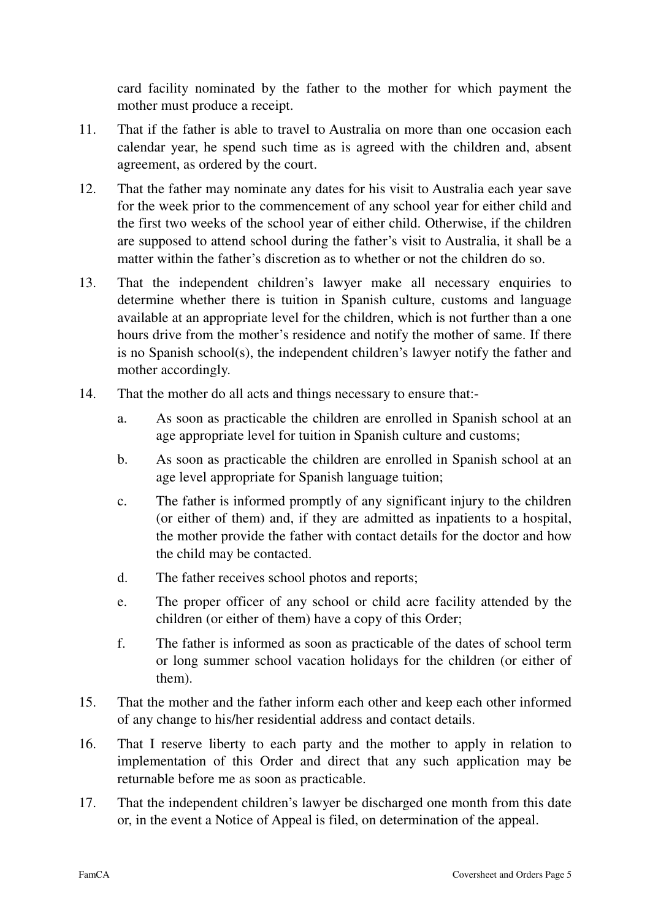card facility nominated by the father to the mother for which payment the mother must produce a receipt.

- 11. That if the father is able to travel to Australia on more than one occasion each calendar year, he spend such time as is agreed with the children and, absent agreement, as ordered by the court.
- 12. That the father may nominate any dates for his visit to Australia each year save for the week prior to the commencement of any school year for either child and the first two weeks of the school year of either child. Otherwise, if the children are supposed to attend school during the father's visit to Australia, it shall be a matter within the father's discretion as to whether or not the children do so.
- 13. That the independent children's lawyer make all necessary enquiries to determine whether there is tuition in Spanish culture, customs and language available at an appropriate level for the children, which is not further than a one hours drive from the mother's residence and notify the mother of same. If there is no Spanish school(s), the independent children's lawyer notify the father and mother accordingly.
- 14. That the mother do all acts and things necessary to ensure that:
	- a. As soon as practicable the children are enrolled in Spanish school at an age appropriate level for tuition in Spanish culture and customs;
	- b. As soon as practicable the children are enrolled in Spanish school at an age level appropriate for Spanish language tuition;
	- c. The father is informed promptly of any significant injury to the children (or either of them) and, if they are admitted as inpatients to a hospital, the mother provide the father with contact details for the doctor and how the child may be contacted.
	- d. The father receives school photos and reports;
	- e. The proper officer of any school or child acre facility attended by the children (or either of them) have a copy of this Order;
	- f. The father is informed as soon as practicable of the dates of school term or long summer school vacation holidays for the children (or either of them).
- 15. That the mother and the father inform each other and keep each other informed of any change to his/her residential address and contact details.
- 16. That I reserve liberty to each party and the mother to apply in relation to implementation of this Order and direct that any such application may be returnable before me as soon as practicable.
- 17. That the independent children's lawyer be discharged one month from this date or, in the event a Notice of Appeal is filed, on determination of the appeal.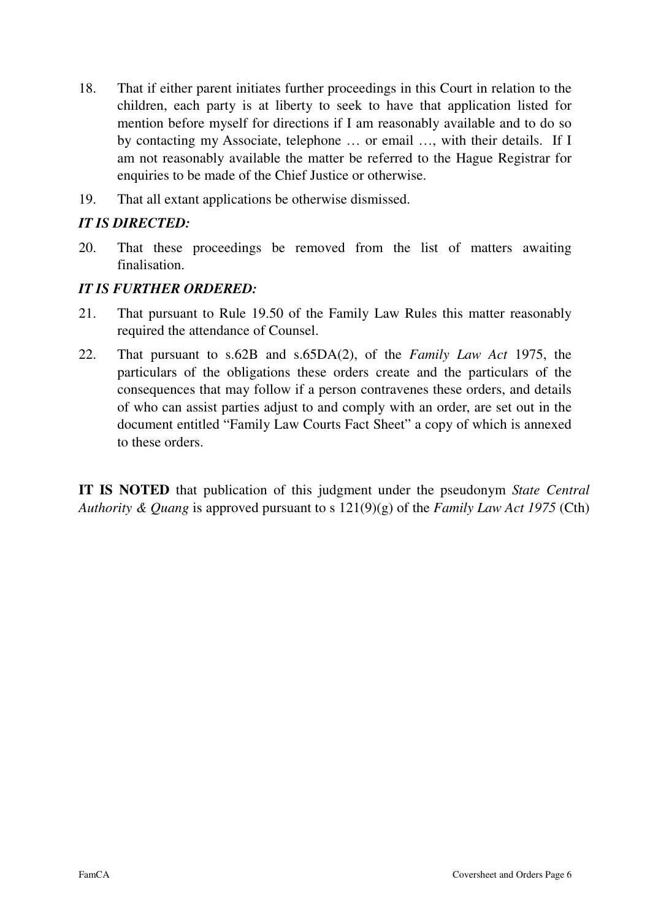- 18. That if either parent initiates further proceedings in this Court in relation to the children, each party is at liberty to seek to have that application listed for mention before myself for directions if I am reasonably available and to do so by contacting my Associate, telephone … or email …, with their details. If I am not reasonably available the matter be referred to the Hague Registrar for enquiries to be made of the Chief Justice or otherwise.
- 19. That all extant applications be otherwise dismissed.

#### *IT IS DIRECTED:*

20. That these proceedings be removed from the list of matters awaiting finalisation.

#### *IT IS FURTHER ORDERED:*

- 21. That pursuant to Rule 19.50 of the Family Law Rules this matter reasonably required the attendance of Counsel.
- 22. That pursuant to s.62B and s.65DA(2), of the *Family Law Act* 1975, the particulars of the obligations these orders create and the particulars of the consequences that may follow if a person contravenes these orders, and details of who can assist parties adjust to and comply with an order, are set out in the document entitled "Family Law Courts Fact Sheet" a copy of which is annexed to these orders.

**IT IS NOTED** that publication of this judgment under the pseudonym *State Central Authority & Quang* is approved pursuant to s 121(9)(g) of the *Family Law Act 1975* (Cth)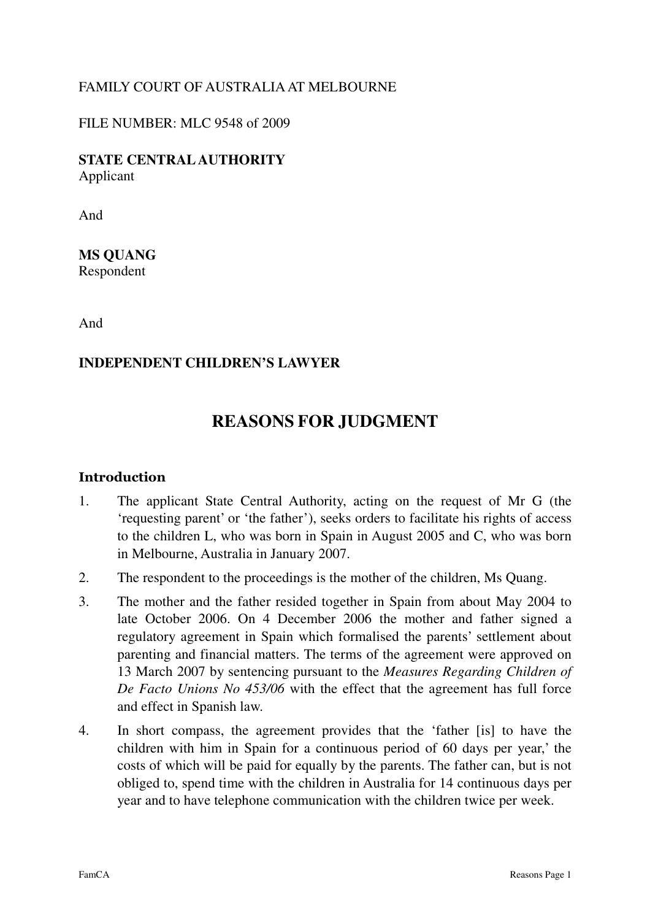## FAMILY COURT OF AUSTRALIA AT MELBOURNE

#### FILE NUMBER: MLC 9548 of 2009

#### **STATE CENTRAL AUTHORITY**  Applicant

And

**MS QUANG**  Respondent

And

## **INDEPENDENT CHILDREN'S LAWYER**

# **REASONS FOR JUDGMENT**

#### Introduction

- 1. The applicant State Central Authority, acting on the request of Mr G (the 'requesting parent' or 'the father'), seeks orders to facilitate his rights of access to the children L, who was born in Spain in August 2005 and C, who was born in Melbourne, Australia in January 2007.
- 2. The respondent to the proceedings is the mother of the children, Ms Quang.
- 3. The mother and the father resided together in Spain from about May 2004 to late October 2006. On 4 December 2006 the mother and father signed a regulatory agreement in Spain which formalised the parents' settlement about parenting and financial matters. The terms of the agreement were approved on 13 March 2007 by sentencing pursuant to the *Measures Regarding Children of De Facto Unions No 453/06* with the effect that the agreement has full force and effect in Spanish law.
- 4. In short compass, the agreement provides that the 'father [is] to have the children with him in Spain for a continuous period of 60 days per year,' the costs of which will be paid for equally by the parents. The father can, but is not obliged to, spend time with the children in Australia for 14 continuous days per year and to have telephone communication with the children twice per week.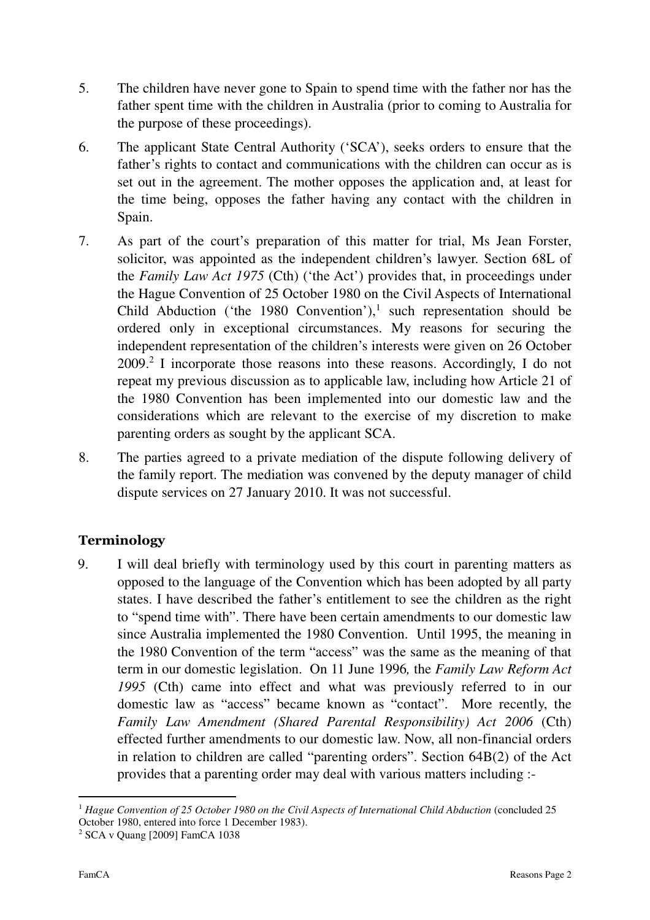- 5. The children have never gone to Spain to spend time with the father nor has the father spent time with the children in Australia (prior to coming to Australia for the purpose of these proceedings).
- 6. The applicant State Central Authority ('SCA'), seeks orders to ensure that the father's rights to contact and communications with the children can occur as is set out in the agreement. The mother opposes the application and, at least for the time being, opposes the father having any contact with the children in Spain.
- 7. As part of the court's preparation of this matter for trial, Ms Jean Forster, solicitor, was appointed as the independent children's lawyer. Section 68L of the *Family Law Act 1975* (Cth) ('the Act') provides that, in proceedings under the Hague Convention of 25 October 1980 on the Civil Aspects of International Child Abduction ('the 1980 Convention'), $1$  such representation should be ordered only in exceptional circumstances. My reasons for securing the independent representation of the children's interests were given on 26 October  $2009$ .<sup>2</sup> I incorporate those reasons into these reasons. Accordingly, I do not repeat my previous discussion as to applicable law, including how Article 21 of the 1980 Convention has been implemented into our domestic law and the considerations which are relevant to the exercise of my discretion to make parenting orders as sought by the applicant SCA.
- 8. The parties agreed to a private mediation of the dispute following delivery of the family report. The mediation was convened by the deputy manager of child dispute services on 27 January 2010. It was not successful.

# Terminology

9. I will deal briefly with terminology used by this court in parenting matters as opposed to the language of the Convention which has been adopted by all party states. I have described the father's entitlement to see the children as the right to "spend time with". There have been certain amendments to our domestic law since Australia implemented the 1980 Convention. Until 1995, the meaning in the 1980 Convention of the term "access" was the same as the meaning of that term in our domestic legislation. On 11 June 1996*,* the *Family Law Reform Act 1995* (Cth) came into effect and what was previously referred to in our domestic law as "access" became known as "contact". More recently, the *Family Law Amendment (Shared Parental Responsibility) Act 2006* (Cth) effected further amendments to our domestic law. Now, all non-financial orders in relation to children are called "parenting orders". Section 64B(2) of the Act provides that a parenting order may deal with various matters including :-

 $\overline{a}$ <sup>1</sup> Hague Convention of 25 October 1980 on the Civil Aspects of International Child Abduction (concluded 25 October 1980, entered into force 1 December 1983).

<sup>2</sup> SCA v Quang [2009] FamCA 1038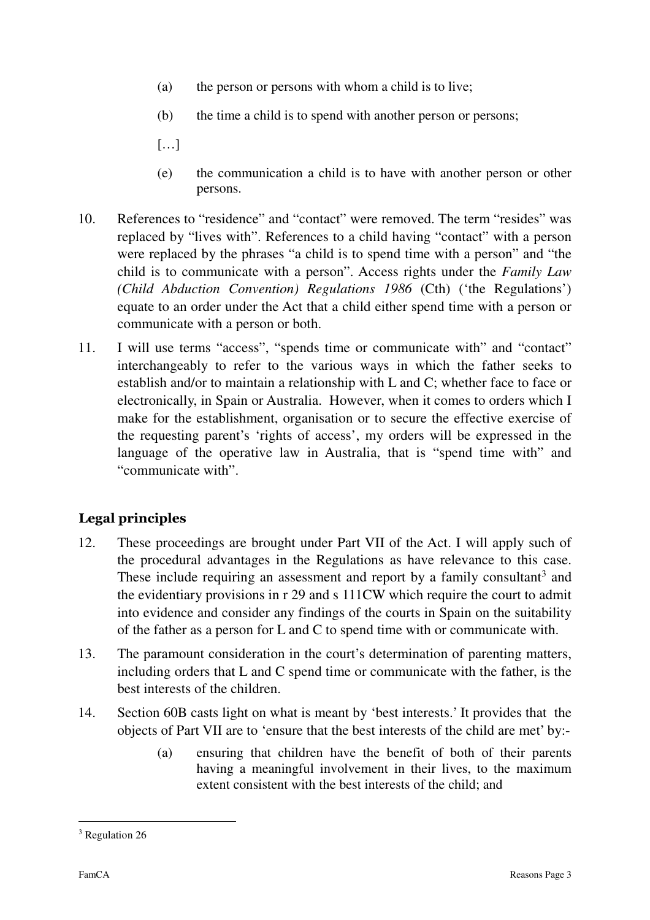- (a) the person or persons with whom a child is to live;
- (b) the time a child is to spend with another person or persons;

[…]

- (e) the communication a child is to have with another person or other persons.
- 10. References to "residence" and "contact" were removed. The term "resides" was replaced by "lives with". References to a child having "contact" with a person were replaced by the phrases "a child is to spend time with a person" and "the child is to communicate with a person". Access rights under the *Family Law (Child Abduction Convention) Regulations 1986* (Cth) ('the Regulations') equate to an order under the Act that a child either spend time with a person or communicate with a person or both.
- 11. I will use terms "access", "spends time or communicate with" and "contact" interchangeably to refer to the various ways in which the father seeks to establish and/or to maintain a relationship with L and C; whether face to face or electronically, in Spain or Australia. However, when it comes to orders which I make for the establishment, organisation or to secure the effective exercise of the requesting parent's 'rights of access', my orders will be expressed in the language of the operative law in Australia, that is "spend time with" and "communicate with".

## Legal principles

- 12. These proceedings are brought under Part VII of the Act. I will apply such of the procedural advantages in the Regulations as have relevance to this case. These include requiring an assessment and report by a family consultant<sup>3</sup> and the evidentiary provisions in r 29 and s 111CW which require the court to admit into evidence and consider any findings of the courts in Spain on the suitability of the father as a person for L and C to spend time with or communicate with.
- 13. The paramount consideration in the court's determination of parenting matters, including orders that L and C spend time or communicate with the father, is the best interests of the children.
- 14. Section 60B casts light on what is meant by 'best interests.' It provides that the objects of Part VII are to 'ensure that the best interests of the child are met' by:-
	- (a) ensuring that children have the benefit of both of their parents having a meaningful involvement in their lives, to the maximum extent consistent with the best interests of the child; and

<sup>&</sup>lt;sup>3</sup> Regulation 26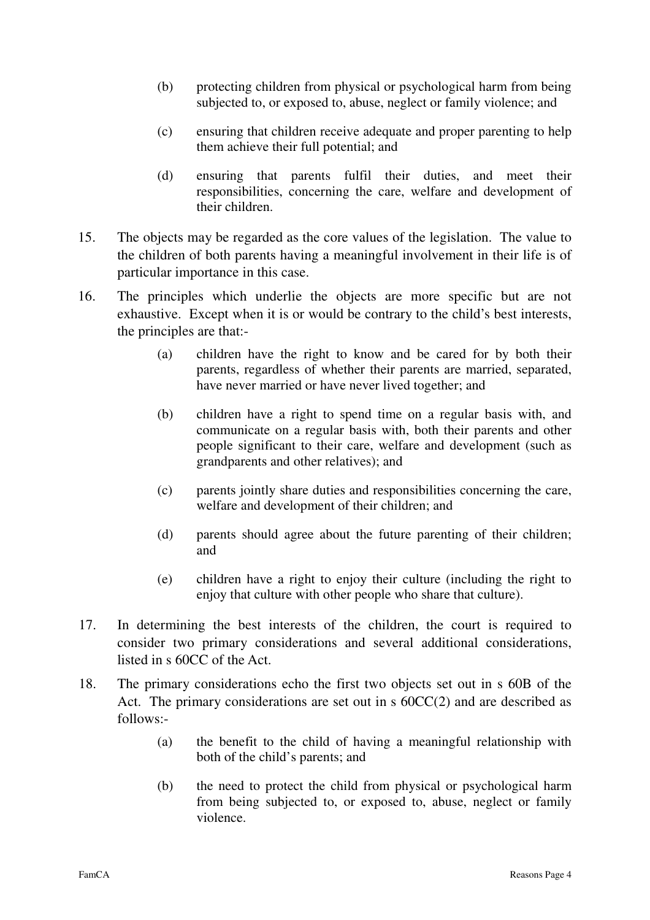- (b) protecting children from physical or psychological harm from being subjected to, or exposed to, abuse, neglect or family violence; and
- (c) ensuring that children receive adequate and proper parenting to help them achieve their full potential; and
- (d) ensuring that parents fulfil their duties, and meet their responsibilities, concerning the care, welfare and development of their children.
- 15. The objects may be regarded as the core values of the legislation. The value to the children of both parents having a meaningful involvement in their life is of particular importance in this case.
- 16. The principles which underlie the objects are more specific but are not exhaustive. Except when it is or would be contrary to the child's best interests, the principles are that:-
	- (a) children have the right to know and be cared for by both their parents, regardless of whether their parents are married, separated, have never married or have never lived together; and
	- (b) children have a right to spend time on a regular basis with, and communicate on a regular basis with, both their parents and other people significant to their care, welfare and development (such as grandparents and other relatives); and
	- (c) parents jointly share duties and responsibilities concerning the care, welfare and development of their children; and
	- (d) parents should agree about the future parenting of their children; and
	- (e) children have a right to enjoy their culture (including the right to enjoy that culture with other people who share that culture).
- 17. In determining the best interests of the children, the court is required to consider two primary considerations and several additional considerations, listed in s 60CC of the Act.
- 18. The primary considerations echo the first two objects set out in s 60B of the Act. The primary considerations are set out in s 60CC(2) and are described as follows:-
	- (a) the benefit to the child of having a meaningful relationship with both of the child's parents; and
	- (b) the need to protect the child from physical or psychological harm from being subjected to, or exposed to, abuse, neglect or family violence.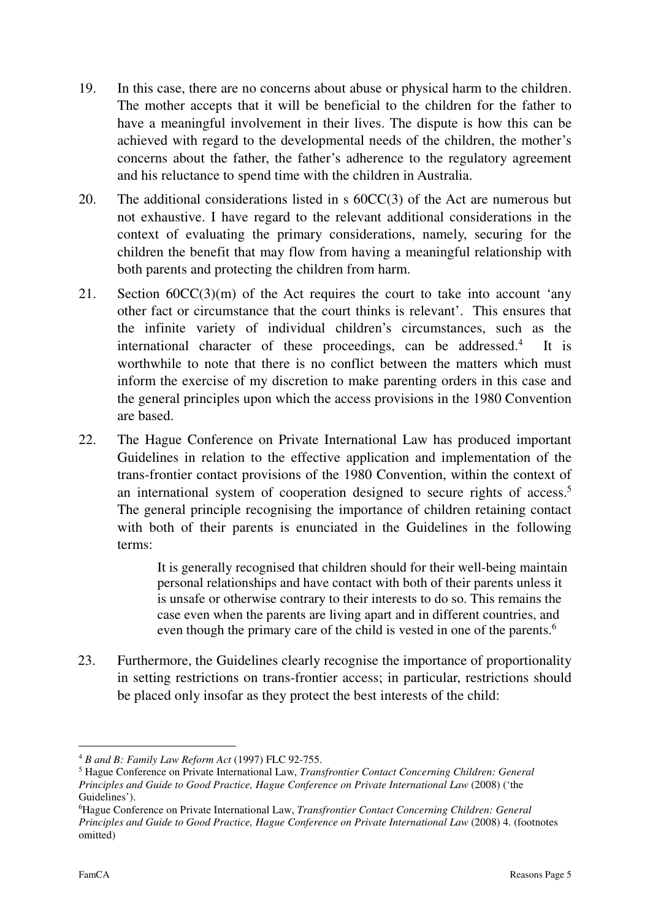- 19. In this case, there are no concerns about abuse or physical harm to the children. The mother accepts that it will be beneficial to the children for the father to have a meaningful involvement in their lives. The dispute is how this can be achieved with regard to the developmental needs of the children, the mother's concerns about the father, the father's adherence to the regulatory agreement and his reluctance to spend time with the children in Australia.
- 20. The additional considerations listed in s 60CC(3) of the Act are numerous but not exhaustive. I have regard to the relevant additional considerations in the context of evaluating the primary considerations, namely, securing for the children the benefit that may flow from having a meaningful relationship with both parents and protecting the children from harm.
- 21. Section  $60CC(3)(m)$  of the Act requires the court to take into account 'any other fact or circumstance that the court thinks is relevant'. This ensures that the infinite variety of individual children's circumstances, such as the international character of these proceedings, can be addressed.<sup>4</sup> It is worthwhile to note that there is no conflict between the matters which must inform the exercise of my discretion to make parenting orders in this case and the general principles upon which the access provisions in the 1980 Convention are based.
- 22. The Hague Conference on Private International Law has produced important Guidelines in relation to the effective application and implementation of the trans-frontier contact provisions of the 1980 Convention, within the context of an international system of cooperation designed to secure rights of access.<sup>5</sup> The general principle recognising the importance of children retaining contact with both of their parents is enunciated in the Guidelines in the following terms:

It is generally recognised that children should for their well-being maintain personal relationships and have contact with both of their parents unless it is unsafe or otherwise contrary to their interests to do so. This remains the case even when the parents are living apart and in different countries, and even though the primary care of the child is vested in one of the parents.<sup>6</sup>

23. Furthermore, the Guidelines clearly recognise the importance of proportionality in setting restrictions on trans-frontier access; in particular, restrictions should be placed only insofar as they protect the best interests of the child:

 $\overline{a}$ <sup>4</sup> *B and B: Family Law Reform Act* (1997) FLC 92-755.

<sup>5</sup> Hague Conference on Private International Law, *Transfrontier Contact Concerning Children: General Principles and Guide to Good Practice, Hague Conference on Private International Law* (2008) ('the Guidelines').

<sup>6</sup>Hague Conference on Private International Law, *Transfrontier Contact Concerning Children: General Principles and Guide to Good Practice, Hague Conference on Private International Law* (2008) 4. (footnotes omitted)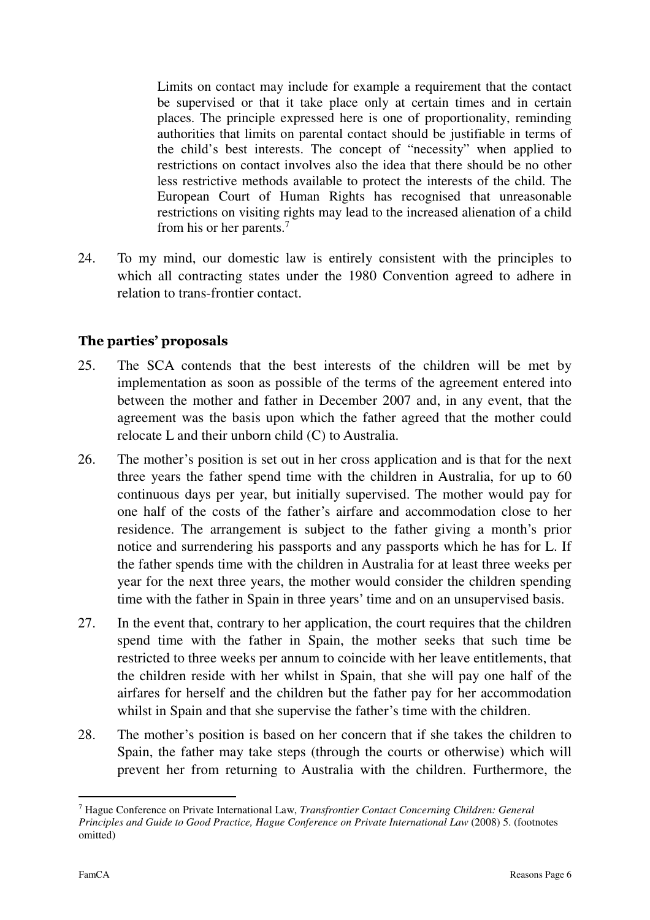Limits on contact may include for example a requirement that the contact be supervised or that it take place only at certain times and in certain places. The principle expressed here is one of proportionality, reminding authorities that limits on parental contact should be justifiable in terms of the child's best interests. The concept of "necessity" when applied to restrictions on contact involves also the idea that there should be no other less restrictive methods available to protect the interests of the child. The European Court of Human Rights has recognised that unreasonable restrictions on visiting rights may lead to the increased alienation of a child from his or her parents.<sup>7</sup>

24. To my mind, our domestic law is entirely consistent with the principles to which all contracting states under the 1980 Convention agreed to adhere in relation to trans-frontier contact.

## The parties' proposals

- 25. The SCA contends that the best interests of the children will be met by implementation as soon as possible of the terms of the agreement entered into between the mother and father in December 2007 and, in any event, that the agreement was the basis upon which the father agreed that the mother could relocate L and their unborn child (C) to Australia.
- 26. The mother's position is set out in her cross application and is that for the next three years the father spend time with the children in Australia, for up to 60 continuous days per year, but initially supervised. The mother would pay for one half of the costs of the father's airfare and accommodation close to her residence. The arrangement is subject to the father giving a month's prior notice and surrendering his passports and any passports which he has for L. If the father spends time with the children in Australia for at least three weeks per year for the next three years, the mother would consider the children spending time with the father in Spain in three years' time and on an unsupervised basis.
- 27. In the event that, contrary to her application, the court requires that the children spend time with the father in Spain, the mother seeks that such time be restricted to three weeks per annum to coincide with her leave entitlements, that the children reside with her whilst in Spain, that she will pay one half of the airfares for herself and the children but the father pay for her accommodation whilst in Spain and that she supervise the father's time with the children.
- 28. The mother's position is based on her concern that if she takes the children to Spain, the father may take steps (through the courts or otherwise) which will prevent her from returning to Australia with the children. Furthermore, the

 $\overline{a}$ 7 Hague Conference on Private International Law, *Transfrontier Contact Concerning Children: General Principles and Guide to Good Practice, Hague Conference on Private International Law* (2008) 5. (footnotes omitted)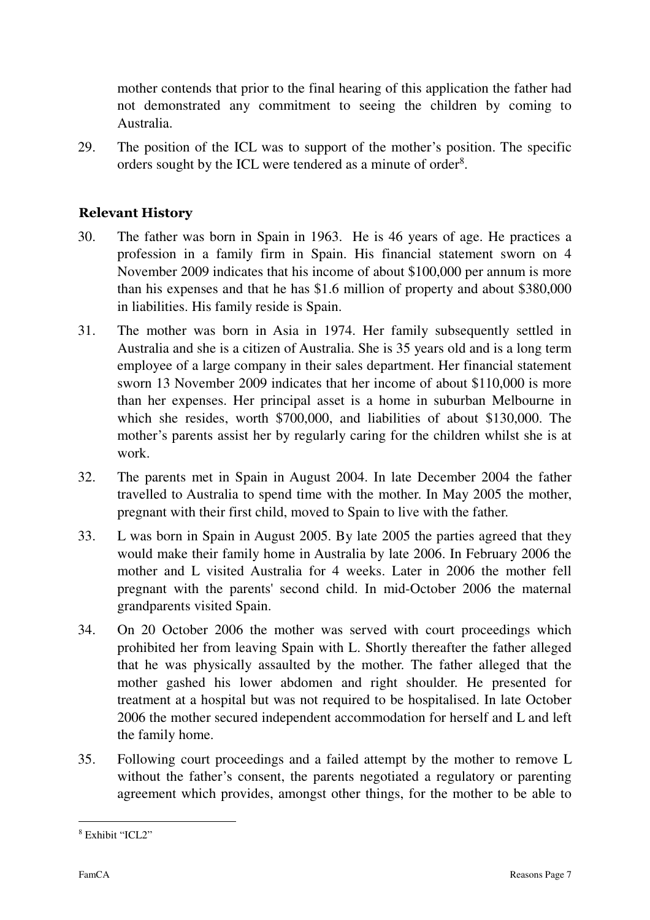mother contends that prior to the final hearing of this application the father had not demonstrated any commitment to seeing the children by coming to Australia.

29. The position of the ICL was to support of the mother's position. The specific orders sought by the ICL were tendered as a minute of order<sup>8</sup>.

## Relevant History

- 30. The father was born in Spain in 1963. He is 46 years of age. He practices a profession in a family firm in Spain. His financial statement sworn on 4 November 2009 indicates that his income of about \$100,000 per annum is more than his expenses and that he has \$1.6 million of property and about \$380,000 in liabilities. His family reside is Spain.
- 31. The mother was born in Asia in 1974. Her family subsequently settled in Australia and she is a citizen of Australia. She is 35 years old and is a long term employee of a large company in their sales department. Her financial statement sworn 13 November 2009 indicates that her income of about \$110,000 is more than her expenses. Her principal asset is a home in suburban Melbourne in which she resides, worth \$700,000, and liabilities of about \$130,000. The mother's parents assist her by regularly caring for the children whilst she is at work.
- 32. The parents met in Spain in August 2004. In late December 2004 the father travelled to Australia to spend time with the mother. In May 2005 the mother, pregnant with their first child, moved to Spain to live with the father.
- 33. L was born in Spain in August 2005. By late 2005 the parties agreed that they would make their family home in Australia by late 2006. In February 2006 the mother and L visited Australia for 4 weeks. Later in 2006 the mother fell pregnant with the parents' second child. In mid-October 2006 the maternal grandparents visited Spain.
- 34. On 20 October 2006 the mother was served with court proceedings which prohibited her from leaving Spain with L. Shortly thereafter the father alleged that he was physically assaulted by the mother. The father alleged that the mother gashed his lower abdomen and right shoulder. He presented for treatment at a hospital but was not required to be hospitalised. In late October 2006 the mother secured independent accommodation for herself and L and left the family home.
- 35. Following court proceedings and a failed attempt by the mother to remove L without the father's consent, the parents negotiated a regulatory or parenting agreement which provides, amongst other things, for the mother to be able to

 8 Exhibit "ICL2"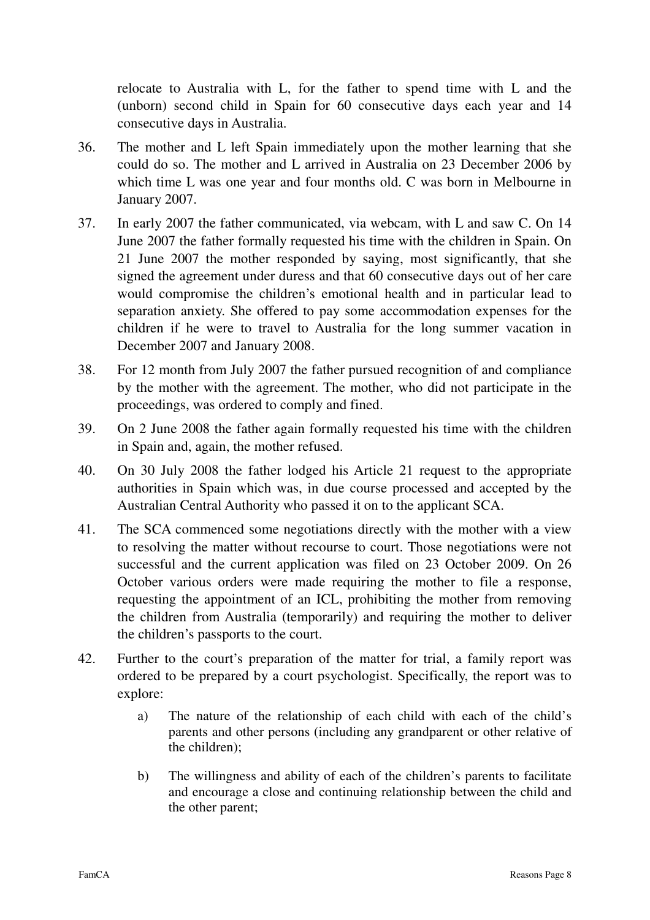relocate to Australia with L, for the father to spend time with L and the (unborn) second child in Spain for 60 consecutive days each year and 14 consecutive days in Australia.

- 36. The mother and L left Spain immediately upon the mother learning that she could do so. The mother and L arrived in Australia on 23 December 2006 by which time L was one year and four months old. C was born in Melbourne in January 2007.
- 37. In early 2007 the father communicated, via webcam, with L and saw C. On 14 June 2007 the father formally requested his time with the children in Spain. On 21 June 2007 the mother responded by saying, most significantly, that she signed the agreement under duress and that 60 consecutive days out of her care would compromise the children's emotional health and in particular lead to separation anxiety. She offered to pay some accommodation expenses for the children if he were to travel to Australia for the long summer vacation in December 2007 and January 2008.
- 38. For 12 month from July 2007 the father pursued recognition of and compliance by the mother with the agreement. The mother, who did not participate in the proceedings, was ordered to comply and fined.
- 39. On 2 June 2008 the father again formally requested his time with the children in Spain and, again, the mother refused.
- 40. On 30 July 2008 the father lodged his Article 21 request to the appropriate authorities in Spain which was, in due course processed and accepted by the Australian Central Authority who passed it on to the applicant SCA.
- 41. The SCA commenced some negotiations directly with the mother with a view to resolving the matter without recourse to court. Those negotiations were not successful and the current application was filed on 23 October 2009. On 26 October various orders were made requiring the mother to file a response, requesting the appointment of an ICL, prohibiting the mother from removing the children from Australia (temporarily) and requiring the mother to deliver the children's passports to the court.
- 42. Further to the court's preparation of the matter for trial, a family report was ordered to be prepared by a court psychologist. Specifically, the report was to explore:
	- a) The nature of the relationship of each child with each of the child's parents and other persons (including any grandparent or other relative of the children);
	- b) The willingness and ability of each of the children's parents to facilitate and encourage a close and continuing relationship between the child and the other parent;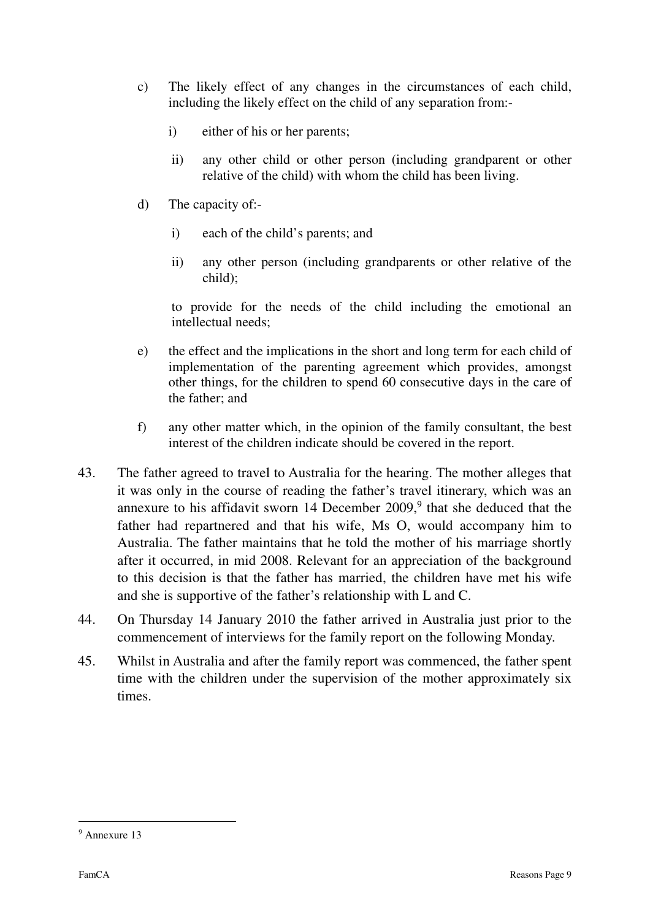- c) The likely effect of any changes in the circumstances of each child, including the likely effect on the child of any separation from:
	- i) either of his or her parents;
	- ii) any other child or other person (including grandparent or other relative of the child) with whom the child has been living.
- d) The capacity of:
	- i) each of the child's parents; and
	- ii) any other person (including grandparents or other relative of the child);

to provide for the needs of the child including the emotional an intellectual needs;

- e) the effect and the implications in the short and long term for each child of implementation of the parenting agreement which provides, amongst other things, for the children to spend 60 consecutive days in the care of the father; and
- f) any other matter which, in the opinion of the family consultant, the best interest of the children indicate should be covered in the report.
- 43. The father agreed to travel to Australia for the hearing. The mother alleges that it was only in the course of reading the father's travel itinerary, which was an annexure to his affidavit sworn 14 December  $2009$ ,<sup>9</sup> that she deduced that the father had repartnered and that his wife, Ms O, would accompany him to Australia. The father maintains that he told the mother of his marriage shortly after it occurred, in mid 2008. Relevant for an appreciation of the background to this decision is that the father has married, the children have met his wife and she is supportive of the father's relationship with L and C.
- 44. On Thursday 14 January 2010 the father arrived in Australia just prior to the commencement of interviews for the family report on the following Monday.
- 45. Whilst in Australia and after the family report was commenced, the father spent time with the children under the supervision of the mother approximately six times.

<sup>9</sup> Annexure 13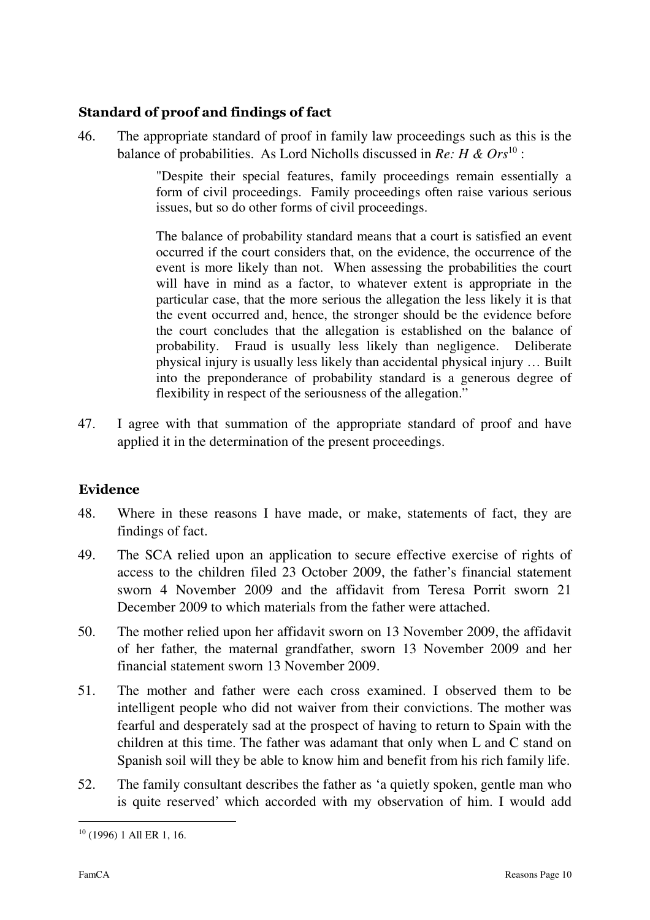## Standard of proof and findings of fact

46. The appropriate standard of proof in family law proceedings such as this is the balance of probabilities. As Lord Nicholls discussed in *Re: H & Ors*<sup>10</sup>:

> "Despite their special features, family proceedings remain essentially a form of civil proceedings. Family proceedings often raise various serious issues, but so do other forms of civil proceedings.

> The balance of probability standard means that a court is satisfied an event occurred if the court considers that, on the evidence, the occurrence of the event is more likely than not. When assessing the probabilities the court will have in mind as a factor, to whatever extent is appropriate in the particular case, that the more serious the allegation the less likely it is that the event occurred and, hence, the stronger should be the evidence before the court concludes that the allegation is established on the balance of probability. Fraud is usually less likely than negligence. Deliberate physical injury is usually less likely than accidental physical injury … Built into the preponderance of probability standard is a generous degree of flexibility in respect of the seriousness of the allegation."

47. I agree with that summation of the appropriate standard of proof and have applied it in the determination of the present proceedings.

## Evidence

- 48. Where in these reasons I have made, or make, statements of fact, they are findings of fact.
- 49. The SCA relied upon an application to secure effective exercise of rights of access to the children filed 23 October 2009, the father's financial statement sworn 4 November 2009 and the affidavit from Teresa Porrit sworn 21 December 2009 to which materials from the father were attached.
- 50. The mother relied upon her affidavit sworn on 13 November 2009, the affidavit of her father, the maternal grandfather, sworn 13 November 2009 and her financial statement sworn 13 November 2009.
- 51. The mother and father were each cross examined. I observed them to be intelligent people who did not waiver from their convictions. The mother was fearful and desperately sad at the prospect of having to return to Spain with the children at this time. The father was adamant that only when L and C stand on Spanish soil will they be able to know him and benefit from his rich family life.
- 52. The family consultant describes the father as 'a quietly spoken, gentle man who is quite reserved' which accorded with my observation of him. I would add

 $\overline{a}$ 10 (1996) 1 All ER 1, 16.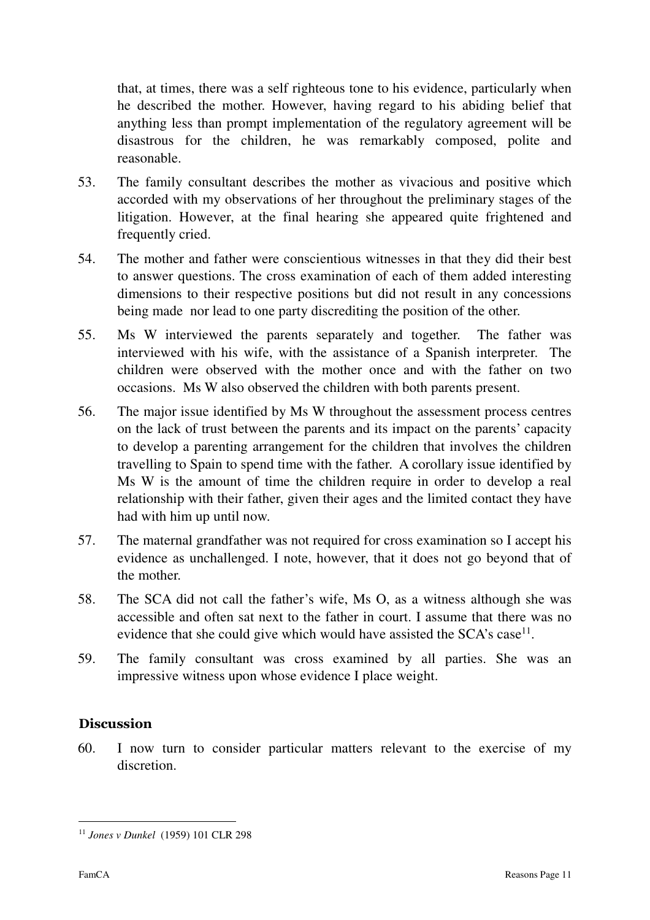that, at times, there was a self righteous tone to his evidence, particularly when he described the mother. However, having regard to his abiding belief that anything less than prompt implementation of the regulatory agreement will be disastrous for the children, he was remarkably composed, polite and reasonable.

- 53. The family consultant describes the mother as vivacious and positive which accorded with my observations of her throughout the preliminary stages of the litigation. However, at the final hearing she appeared quite frightened and frequently cried.
- 54. The mother and father were conscientious witnesses in that they did their best to answer questions. The cross examination of each of them added interesting dimensions to their respective positions but did not result in any concessions being made nor lead to one party discrediting the position of the other.
- 55. Ms W interviewed the parents separately and together. The father was interviewed with his wife, with the assistance of a Spanish interpreter. The children were observed with the mother once and with the father on two occasions. Ms W also observed the children with both parents present.
- 56. The major issue identified by Ms W throughout the assessment process centres on the lack of trust between the parents and its impact on the parents' capacity to develop a parenting arrangement for the children that involves the children travelling to Spain to spend time with the father. A corollary issue identified by Ms W is the amount of time the children require in order to develop a real relationship with their father, given their ages and the limited contact they have had with him up until now.
- 57. The maternal grandfather was not required for cross examination so I accept his evidence as unchallenged. I note, however, that it does not go beyond that of the mother.
- 58. The SCA did not call the father's wife, Ms O, as a witness although she was accessible and often sat next to the father in court. I assume that there was no evidence that she could give which would have assisted the  $SCA's case<sup>11</sup>$ .
- 59. The family consultant was cross examined by all parties. She was an impressive witness upon whose evidence I place weight.

## **Discussion**

60. I now turn to consider particular matters relevant to the exercise of my discretion.

 $\overline{a}$ <sup>11</sup> *Jones v Dunkel* (1959) 101 CLR 298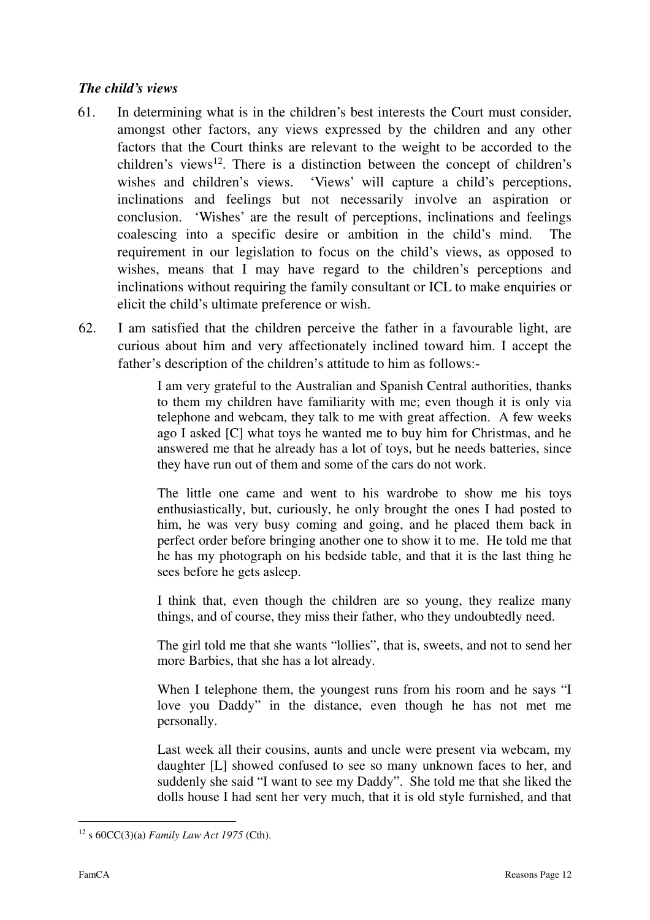## *The child's views*

- 61. In determining what is in the children's best interests the Court must consider, amongst other factors, any views expressed by the children and any other factors that the Court thinks are relevant to the weight to be accorded to the children's views<sup>12</sup>. There is a distinction between the concept of children's wishes and children's views. 'Views' will capture a child's perceptions, inclinations and feelings but not necessarily involve an aspiration or conclusion. 'Wishes' are the result of perceptions, inclinations and feelings coalescing into a specific desire or ambition in the child's mind. The requirement in our legislation to focus on the child's views, as opposed to wishes, means that I may have regard to the children's perceptions and inclinations without requiring the family consultant or ICL to make enquiries or elicit the child's ultimate preference or wish.
- 62. I am satisfied that the children perceive the father in a favourable light, are curious about him and very affectionately inclined toward him. I accept the father's description of the children's attitude to him as follows:-

I am very grateful to the Australian and Spanish Central authorities, thanks to them my children have familiarity with me; even though it is only via telephone and webcam, they talk to me with great affection. A few weeks ago I asked [C] what toys he wanted me to buy him for Christmas, and he answered me that he already has a lot of toys, but he needs batteries, since they have run out of them and some of the cars do not work.

The little one came and went to his wardrobe to show me his toys enthusiastically, but, curiously, he only brought the ones I had posted to him, he was very busy coming and going, and he placed them back in perfect order before bringing another one to show it to me. He told me that he has my photograph on his bedside table, and that it is the last thing he sees before he gets asleep.

I think that, even though the children are so young, they realize many things, and of course, they miss their father, who they undoubtedly need.

The girl told me that she wants "lollies", that is, sweets, and not to send her more Barbies, that she has a lot already.

When I telephone them, the youngest runs from his room and he says "I love you Daddy" in the distance, even though he has not met me personally.

Last week all their cousins, aunts and uncle were present via webcam, my daughter [L] showed confused to see so many unknown faces to her, and suddenly she said "I want to see my Daddy". She told me that she liked the dolls house I had sent her very much, that it is old style furnished, and that

 $\overline{a}$ 12 s 60CC(3)(a) *Family Law Act 1975* (Cth).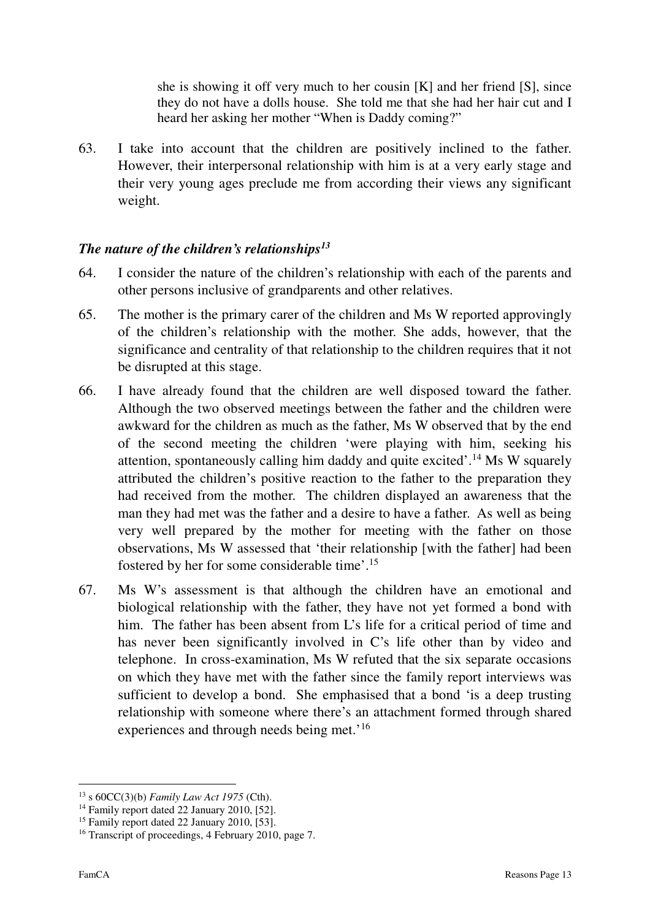she is showing it off very much to her cousin [K] and her friend [S], since they do not have a dolls house. She told me that she had her hair cut and I heard her asking her mother "When is Daddy coming?"

63. I take into account that the children are positively inclined to the father. However, their interpersonal relationship with him is at a very early stage and their very young ages preclude me from according their views any significant weight.

## *The nature of the children's relationships<sup>13</sup>*

- 64. I consider the nature of the children's relationship with each of the parents and other persons inclusive of grandparents and other relatives.
- 65. The mother is the primary carer of the children and Ms W reported approvingly of the children's relationship with the mother. She adds, however, that the significance and centrality of that relationship to the children requires that it not be disrupted at this stage.
- 66. I have already found that the children are well disposed toward the father. Although the two observed meetings between the father and the children were awkward for the children as much as the father, Ms W observed that by the end of the second meeting the children 'were playing with him, seeking his attention, spontaneously calling him daddy and quite excited'.<sup>14</sup> Ms W squarely attributed the children's positive reaction to the father to the preparation they had received from the mother. The children displayed an awareness that the man they had met was the father and a desire to have a father. As well as being very well prepared by the mother for meeting with the father on those observations, Ms W assessed that 'their relationship [with the father] had been fostered by her for some considerable time'.<sup>15</sup>
- 67. Ms W's assessment is that although the children have an emotional and biological relationship with the father, they have not yet formed a bond with him. The father has been absent from L's life for a critical period of time and has never been significantly involved in C's life other than by video and telephone. In cross-examination, Ms W refuted that the six separate occasions on which they have met with the father since the family report interviews was sufficient to develop a bond. She emphasised that a bond 'is a deep trusting relationship with someone where there's an attachment formed through shared experiences and through needs being met.'<sup>16</sup>

<sup>13</sup> s 60CC(3)(b) *Family Law Act 1975* (Cth).

<sup>&</sup>lt;sup>14</sup> Family report dated 22 January 2010, [52].

<sup>&</sup>lt;sup>15</sup> Family report dated 22 January 2010, [53].

<sup>16</sup> Transcript of proceedings, 4 February 2010, page 7.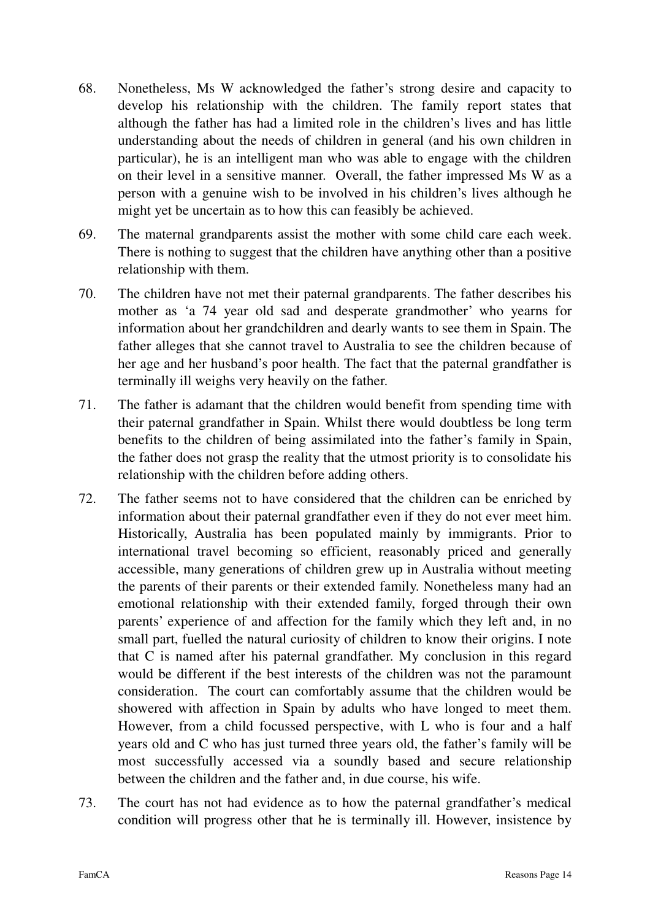- 68. Nonetheless, Ms W acknowledged the father's strong desire and capacity to develop his relationship with the children. The family report states that although the father has had a limited role in the children's lives and has little understanding about the needs of children in general (and his own children in particular), he is an intelligent man who was able to engage with the children on their level in a sensitive manner. Overall, the father impressed Ms W as a person with a genuine wish to be involved in his children's lives although he might yet be uncertain as to how this can feasibly be achieved.
- 69. The maternal grandparents assist the mother with some child care each week. There is nothing to suggest that the children have anything other than a positive relationship with them.
- 70. The children have not met their paternal grandparents. The father describes his mother as 'a 74 year old sad and desperate grandmother' who yearns for information about her grandchildren and dearly wants to see them in Spain. The father alleges that she cannot travel to Australia to see the children because of her age and her husband's poor health. The fact that the paternal grandfather is terminally ill weighs very heavily on the father.
- 71. The father is adamant that the children would benefit from spending time with their paternal grandfather in Spain. Whilst there would doubtless be long term benefits to the children of being assimilated into the father's family in Spain, the father does not grasp the reality that the utmost priority is to consolidate his relationship with the children before adding others.
- 72. The father seems not to have considered that the children can be enriched by information about their paternal grandfather even if they do not ever meet him. Historically, Australia has been populated mainly by immigrants. Prior to international travel becoming so efficient, reasonably priced and generally accessible, many generations of children grew up in Australia without meeting the parents of their parents or their extended family. Nonetheless many had an emotional relationship with their extended family, forged through their own parents' experience of and affection for the family which they left and, in no small part, fuelled the natural curiosity of children to know their origins. I note that C is named after his paternal grandfather. My conclusion in this regard would be different if the best interests of the children was not the paramount consideration. The court can comfortably assume that the children would be showered with affection in Spain by adults who have longed to meet them. However, from a child focussed perspective, with L who is four and a half years old and C who has just turned three years old, the father's family will be most successfully accessed via a soundly based and secure relationship between the children and the father and, in due course, his wife.
- 73. The court has not had evidence as to how the paternal grandfather's medical condition will progress other that he is terminally ill. However, insistence by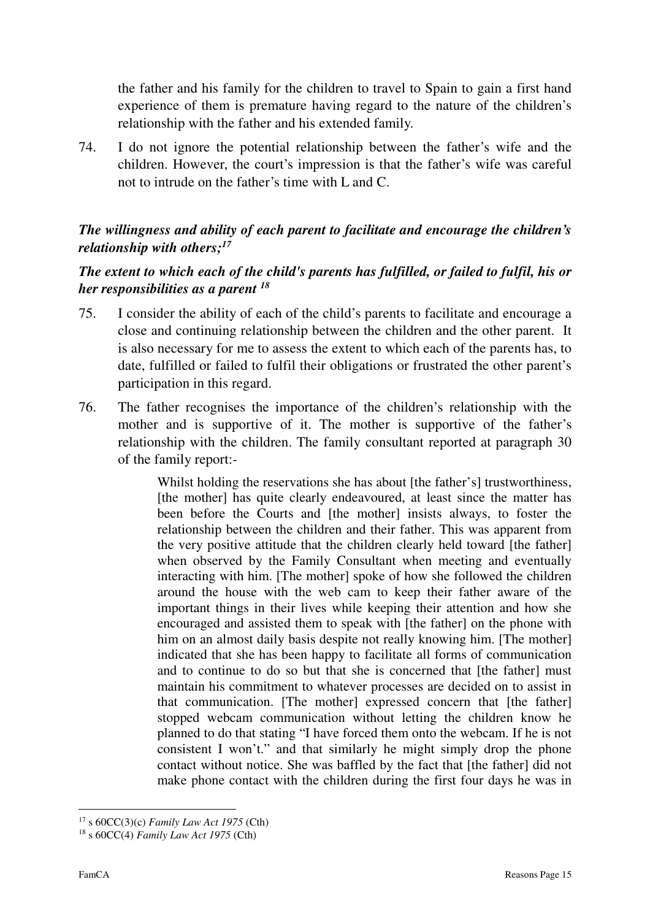the father and his family for the children to travel to Spain to gain a first hand experience of them is premature having regard to the nature of the children's relationship with the father and his extended family.

74. I do not ignore the potential relationship between the father's wife and the children. However, the court's impression is that the father's wife was careful not to intrude on the father's time with L and C.

## *The willingness and ability of each parent to facilitate and encourage the children's relationship with others;<sup>17</sup>*

## *The extent to which each of the child's parents has fulfilled, or failed to fulfil, his or her responsibilities as a parent <sup>18</sup>*

- 75. I consider the ability of each of the child's parents to facilitate and encourage a close and continuing relationship between the children and the other parent. It is also necessary for me to assess the extent to which each of the parents has, to date, fulfilled or failed to fulfil their obligations or frustrated the other parent's participation in this regard.
- 76. The father recognises the importance of the children's relationship with the mother and is supportive of it. The mother is supportive of the father's relationship with the children. The family consultant reported at paragraph 30 of the family report:-

Whilst holding the reservations she has about [the father's] trustworthiness, [the mother] has quite clearly endeavoured, at least since the matter has been before the Courts and [the mother] insists always, to foster the relationship between the children and their father. This was apparent from the very positive attitude that the children clearly held toward [the father] when observed by the Family Consultant when meeting and eventually interacting with him. [The mother] spoke of how she followed the children around the house with the web cam to keep their father aware of the important things in their lives while keeping their attention and how she encouraged and assisted them to speak with [the father] on the phone with him on an almost daily basis despite not really knowing him. [The mother] indicated that she has been happy to facilitate all forms of communication and to continue to do so but that she is concerned that [the father] must maintain his commitment to whatever processes are decided on to assist in that communication. [The mother] expressed concern that [the father] stopped webcam communication without letting the children know he planned to do that stating "I have forced them onto the webcam. If he is not consistent I won't." and that similarly he might simply drop the phone contact without notice. She was baffled by the fact that [the father] did not make phone contact with the children during the first four days he was in

 $\overline{a}$ <sup>17</sup> s 60CC(3)(c) *Family Law Act 1975* (Cth)

<sup>18</sup> s 60CC(4) *Family Law Act 1975* (Cth)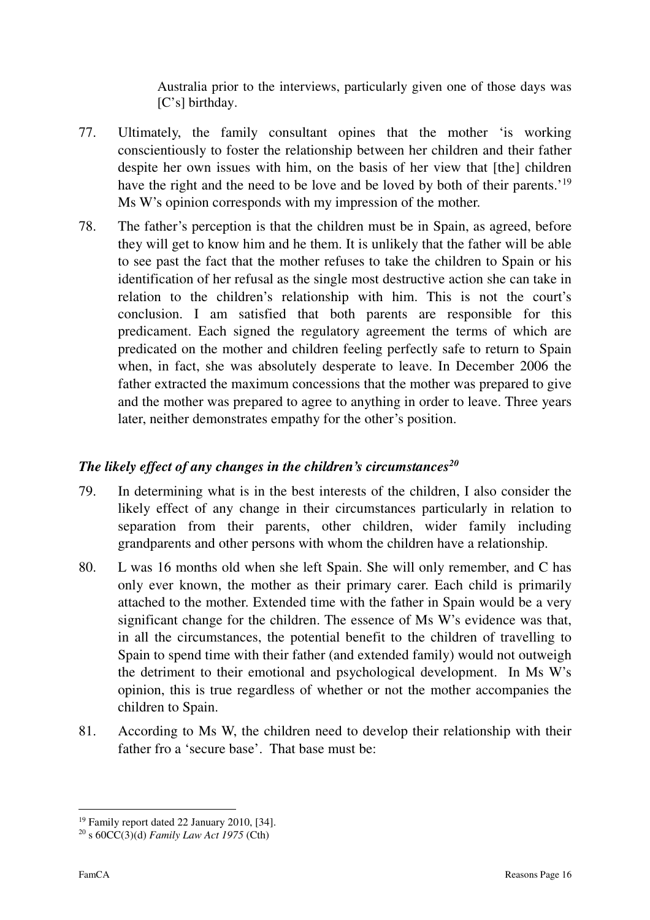Australia prior to the interviews, particularly given one of those days was [C's] birthday.

- 77. Ultimately, the family consultant opines that the mother 'is working conscientiously to foster the relationship between her children and their father despite her own issues with him, on the basis of her view that [the] children have the right and the need to be love and be loved by both of their parents.<sup>'19</sup> Ms W's opinion corresponds with my impression of the mother.
- 78. The father's perception is that the children must be in Spain, as agreed, before they will get to know him and he them. It is unlikely that the father will be able to see past the fact that the mother refuses to take the children to Spain or his identification of her refusal as the single most destructive action she can take in relation to the children's relationship with him. This is not the court's conclusion. I am satisfied that both parents are responsible for this predicament. Each signed the regulatory agreement the terms of which are predicated on the mother and children feeling perfectly safe to return to Spain when, in fact, she was absolutely desperate to leave. In December 2006 the father extracted the maximum concessions that the mother was prepared to give and the mother was prepared to agree to anything in order to leave. Three years later, neither demonstrates empathy for the other's position.

## *The likely effect of any changes in the children's circumstances<sup>20</sup>*

- 79. In determining what is in the best interests of the children, I also consider the likely effect of any change in their circumstances particularly in relation to separation from their parents, other children, wider family including grandparents and other persons with whom the children have a relationship.
- 80. L was 16 months old when she left Spain. She will only remember, and C has only ever known, the mother as their primary carer. Each child is primarily attached to the mother. Extended time with the father in Spain would be a very significant change for the children. The essence of Ms W's evidence was that, in all the circumstances, the potential benefit to the children of travelling to Spain to spend time with their father (and extended family) would not outweigh the detriment to their emotional and psychological development. In Ms W's opinion, this is true regardless of whether or not the mother accompanies the children to Spain.
- 81. According to Ms W, the children need to develop their relationship with their father fro a 'secure base'. That base must be:

 $\overline{a}$ <sup>19</sup> Family report dated 22 January 2010, [34].

<sup>20</sup> s 60CC(3)(d) *Family Law Act 1975* (Cth)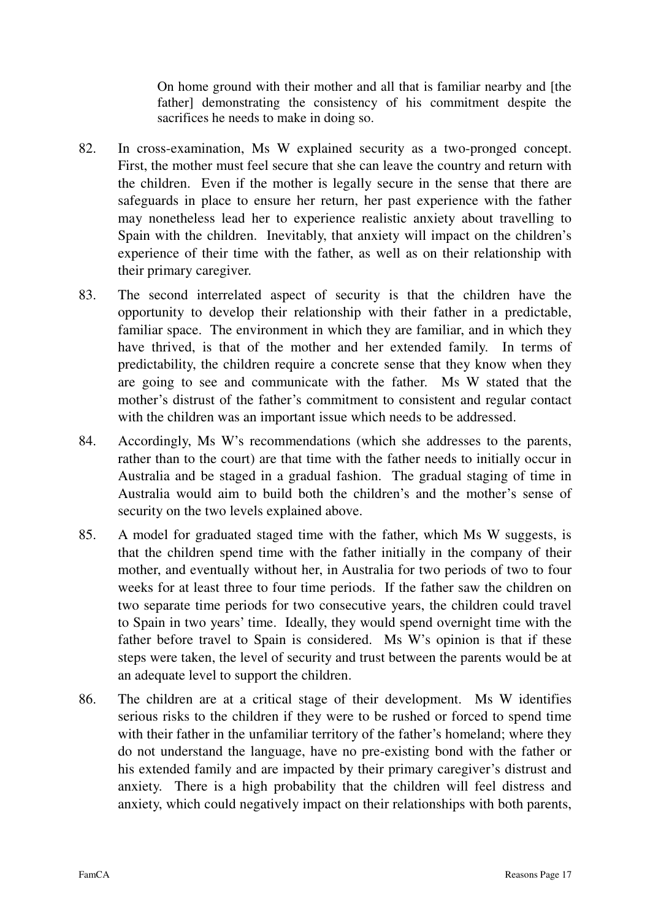On home ground with their mother and all that is familiar nearby and [the father] demonstrating the consistency of his commitment despite the sacrifices he needs to make in doing so.

- 82. In cross-examination, Ms W explained security as a two-pronged concept. First, the mother must feel secure that she can leave the country and return with the children. Even if the mother is legally secure in the sense that there are safeguards in place to ensure her return, her past experience with the father may nonetheless lead her to experience realistic anxiety about travelling to Spain with the children. Inevitably, that anxiety will impact on the children's experience of their time with the father, as well as on their relationship with their primary caregiver.
- 83. The second interrelated aspect of security is that the children have the opportunity to develop their relationship with their father in a predictable, familiar space. The environment in which they are familiar, and in which they have thrived, is that of the mother and her extended family. In terms of predictability, the children require a concrete sense that they know when they are going to see and communicate with the father. Ms W stated that the mother's distrust of the father's commitment to consistent and regular contact with the children was an important issue which needs to be addressed.
- 84. Accordingly, Ms W's recommendations (which she addresses to the parents, rather than to the court) are that time with the father needs to initially occur in Australia and be staged in a gradual fashion. The gradual staging of time in Australia would aim to build both the children's and the mother's sense of security on the two levels explained above.
- 85. A model for graduated staged time with the father, which Ms W suggests, is that the children spend time with the father initially in the company of their mother, and eventually without her, in Australia for two periods of two to four weeks for at least three to four time periods. If the father saw the children on two separate time periods for two consecutive years, the children could travel to Spain in two years' time. Ideally, they would spend overnight time with the father before travel to Spain is considered. Ms W's opinion is that if these steps were taken, the level of security and trust between the parents would be at an adequate level to support the children.
- 86. The children are at a critical stage of their development. Ms W identifies serious risks to the children if they were to be rushed or forced to spend time with their father in the unfamiliar territory of the father's homeland; where they do not understand the language, have no pre-existing bond with the father or his extended family and are impacted by their primary caregiver's distrust and anxiety. There is a high probability that the children will feel distress and anxiety, which could negatively impact on their relationships with both parents,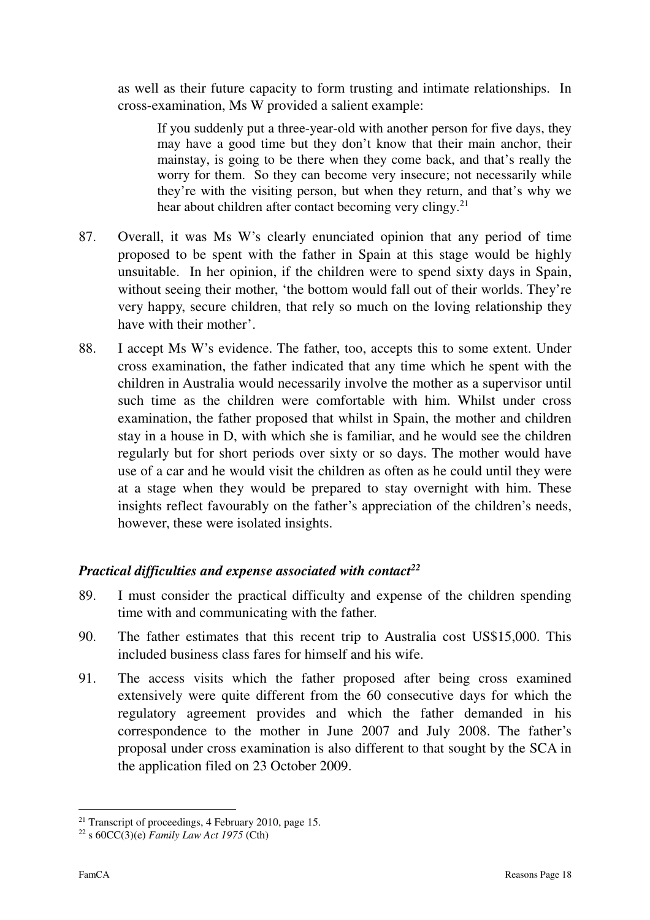as well as their future capacity to form trusting and intimate relationships. In cross-examination, Ms W provided a salient example:

If you suddenly put a three-year-old with another person for five days, they may have a good time but they don't know that their main anchor, their mainstay, is going to be there when they come back, and that's really the worry for them. So they can become very insecure; not necessarily while they're with the visiting person, but when they return, and that's why we hear about children after contact becoming very clingy.<sup>21</sup>

- 87. Overall, it was Ms W's clearly enunciated opinion that any period of time proposed to be spent with the father in Spain at this stage would be highly unsuitable. In her opinion, if the children were to spend sixty days in Spain, without seeing their mother, 'the bottom would fall out of their worlds. They're very happy, secure children, that rely so much on the loving relationship they have with their mother'.
- 88. I accept Ms W's evidence. The father, too, accepts this to some extent. Under cross examination, the father indicated that any time which he spent with the children in Australia would necessarily involve the mother as a supervisor until such time as the children were comfortable with him. Whilst under cross examination, the father proposed that whilst in Spain, the mother and children stay in a house in D, with which she is familiar, and he would see the children regularly but for short periods over sixty or so days. The mother would have use of a car and he would visit the children as often as he could until they were at a stage when they would be prepared to stay overnight with him. These insights reflect favourably on the father's appreciation of the children's needs, however, these were isolated insights.

## *Practical difficulties and expense associated with contact<sup>22</sup>*

- 89. I must consider the practical difficulty and expense of the children spending time with and communicating with the father.
- 90. The father estimates that this recent trip to Australia cost US\$15,000. This included business class fares for himself and his wife.
- 91. The access visits which the father proposed after being cross examined extensively were quite different from the 60 consecutive days for which the regulatory agreement provides and which the father demanded in his correspondence to the mother in June 2007 and July 2008. The father's proposal under cross examination is also different to that sought by the SCA in the application filed on 23 October 2009.

 $\overline{a}$  $21$  Transcript of proceedings, 4 February 2010, page 15.

<sup>22</sup> s 60CC(3)(e) *Family Law Act 1975* (Cth)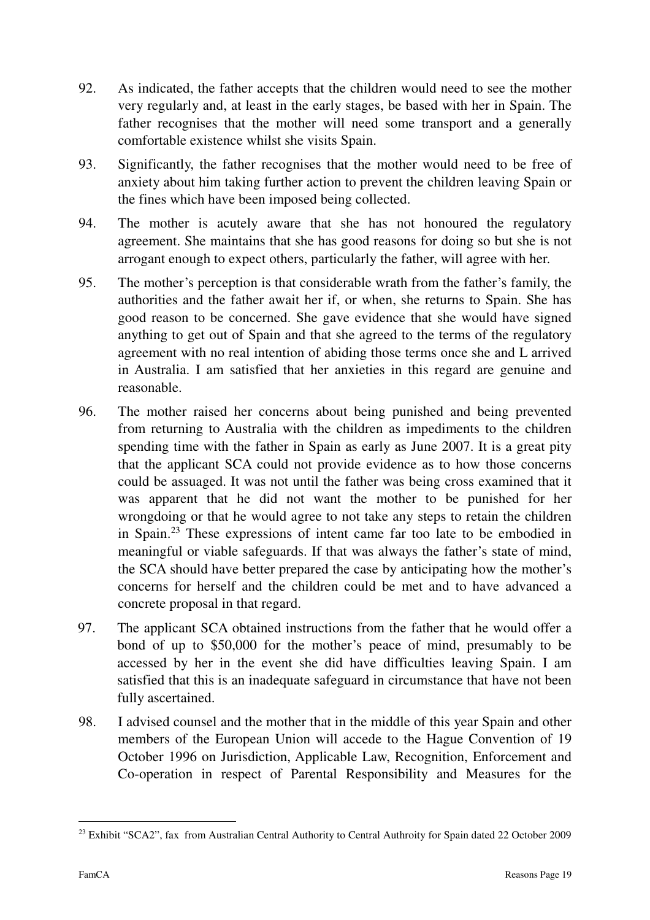- 92. As indicated, the father accepts that the children would need to see the mother very regularly and, at least in the early stages, be based with her in Spain. The father recognises that the mother will need some transport and a generally comfortable existence whilst she visits Spain.
- 93. Significantly, the father recognises that the mother would need to be free of anxiety about him taking further action to prevent the children leaving Spain or the fines which have been imposed being collected.
- 94. The mother is acutely aware that she has not honoured the regulatory agreement. She maintains that she has good reasons for doing so but she is not arrogant enough to expect others, particularly the father, will agree with her.
- 95. The mother's perception is that considerable wrath from the father's family, the authorities and the father await her if, or when, she returns to Spain. She has good reason to be concerned. She gave evidence that she would have signed anything to get out of Spain and that she agreed to the terms of the regulatory agreement with no real intention of abiding those terms once she and L arrived in Australia. I am satisfied that her anxieties in this regard are genuine and reasonable.
- 96. The mother raised her concerns about being punished and being prevented from returning to Australia with the children as impediments to the children spending time with the father in Spain as early as June 2007. It is a great pity that the applicant SCA could not provide evidence as to how those concerns could be assuaged. It was not until the father was being cross examined that it was apparent that he did not want the mother to be punished for her wrongdoing or that he would agree to not take any steps to retain the children in Spain.<sup>23</sup> These expressions of intent came far too late to be embodied in meaningful or viable safeguards. If that was always the father's state of mind, the SCA should have better prepared the case by anticipating how the mother's concerns for herself and the children could be met and to have advanced a concrete proposal in that regard.
- 97. The applicant SCA obtained instructions from the father that he would offer a bond of up to \$50,000 for the mother's peace of mind, presumably to be accessed by her in the event she did have difficulties leaving Spain. I am satisfied that this is an inadequate safeguard in circumstance that have not been fully ascertained.
- 98. I advised counsel and the mother that in the middle of this year Spain and other members of the European Union will accede to the Hague Convention of 19 October 1996 on Jurisdiction, Applicable Law, Recognition, Enforcement and Co-operation in respect of Parental Responsibility and Measures for the

<sup>&</sup>lt;sup>23</sup> Exhibit "SCA2", fax from Australian Central Authority to Central Authroity for Spain dated 22 October 2009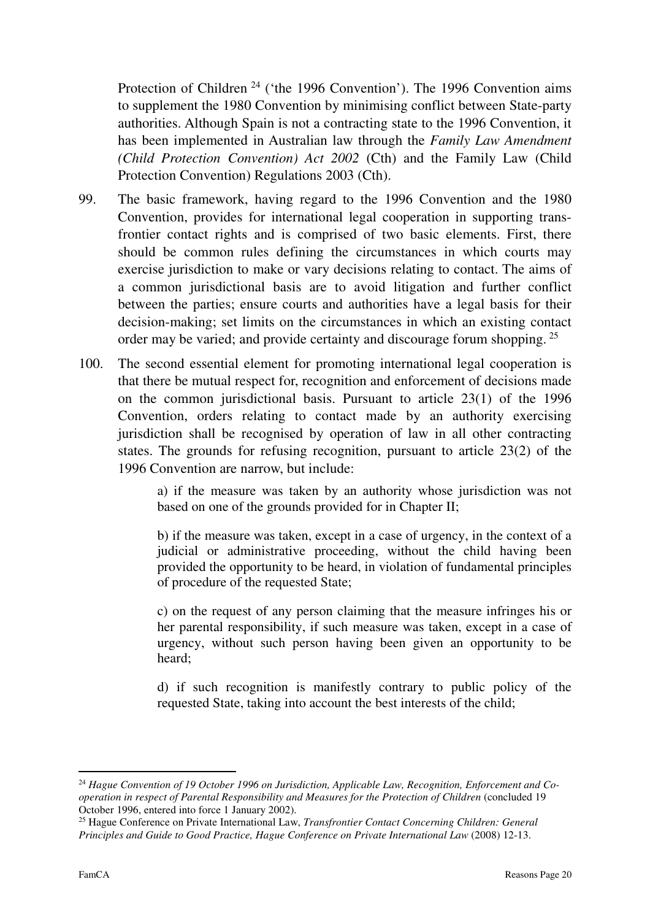Protection of Children<sup>24</sup> ('the 1996 Convention'). The 1996 Convention aims to supplement the 1980 Convention by minimising conflict between State-party authorities. Although Spain is not a contracting state to the 1996 Convention, it has been implemented in Australian law through the *Family Law Amendment (Child Protection Convention) Act 2002* (Cth) and the Family Law (Child Protection Convention) Regulations 2003 (Cth).

- 99. The basic framework, having regard to the 1996 Convention and the 1980 Convention, provides for international legal cooperation in supporting transfrontier contact rights and is comprised of two basic elements. First, there should be common rules defining the circumstances in which courts may exercise jurisdiction to make or vary decisions relating to contact. The aims of a common jurisdictional basis are to avoid litigation and further conflict between the parties; ensure courts and authorities have a legal basis for their decision-making; set limits on the circumstances in which an existing contact order may be varied; and provide certainty and discourage forum shopping.<sup>25</sup>
- 100. The second essential element for promoting international legal cooperation is that there be mutual respect for, recognition and enforcement of decisions made on the common jurisdictional basis. Pursuant to article 23(1) of the 1996 Convention, orders relating to contact made by an authority exercising jurisdiction shall be recognised by operation of law in all other contracting states. The grounds for refusing recognition, pursuant to article 23(2) of the 1996 Convention are narrow, but include:

a) if the measure was taken by an authority whose jurisdiction was not based on one of the grounds provided for in Chapter II;

b) if the measure was taken, except in a case of urgency, in the context of a judicial or administrative proceeding, without the child having been provided the opportunity to be heard, in violation of fundamental principles of procedure of the requested State;

c) on the request of any person claiming that the measure infringes his or her parental responsibility, if such measure was taken, except in a case of urgency, without such person having been given an opportunity to be heard;

d) if such recognition is manifestly contrary to public policy of the requested State, taking into account the best interests of the child;

 $\overline{a}$ <sup>24</sup> *Hague Convention of 19 October 1996 on Jurisdiction, Applicable Law, Recognition, Enforcement and Cooperation in respect of Parental Responsibility and Measures for the Protection of Children* (concluded 19 October 1996, entered into force 1 January 2002).

<sup>25</sup> Hague Conference on Private International Law, *Transfrontier Contact Concerning Children: General Principles and Guide to Good Practice, Hague Conference on Private International Law* (2008) 12-13.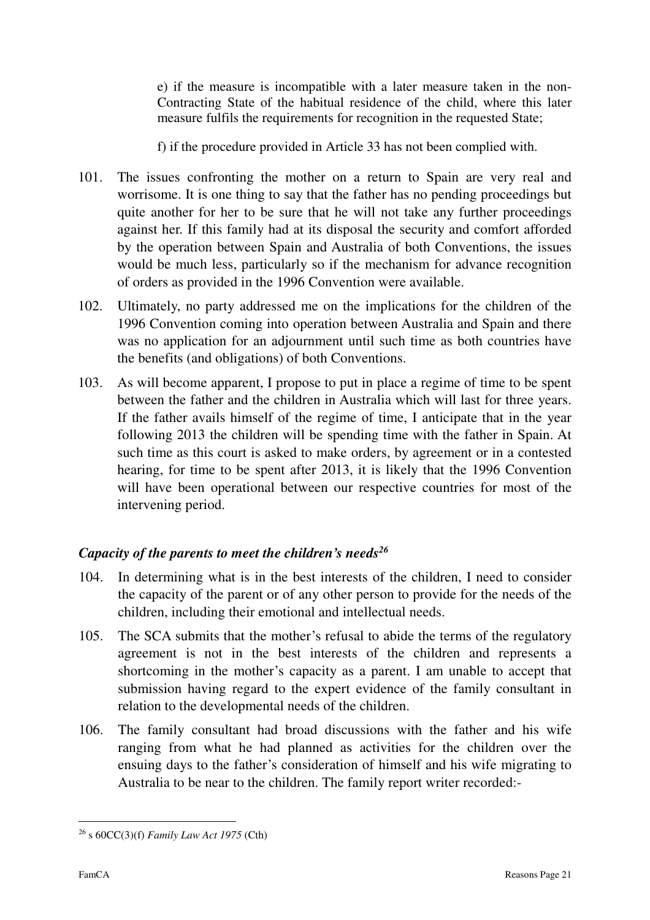e) if the measure is incompatible with a later measure taken in the non-Contracting State of the habitual residence of the child, where this later measure fulfils the requirements for recognition in the requested State;

f) if the procedure provided in Article 33 has not been complied with.

- 101. The issues confronting the mother on a return to Spain are very real and worrisome. It is one thing to say that the father has no pending proceedings but quite another for her to be sure that he will not take any further proceedings against her. If this family had at its disposal the security and comfort afforded by the operation between Spain and Australia of both Conventions, the issues would be much less, particularly so if the mechanism for advance recognition of orders as provided in the 1996 Convention were available.
- 102. Ultimately, no party addressed me on the implications for the children of the 1996 Convention coming into operation between Australia and Spain and there was no application for an adjournment until such time as both countries have the benefits (and obligations) of both Conventions.
- 103. As will become apparent, I propose to put in place a regime of time to be spent between the father and the children in Australia which will last for three years. If the father avails himself of the regime of time, I anticipate that in the year following 2013 the children will be spending time with the father in Spain. At such time as this court is asked to make orders, by agreement or in a contested hearing, for time to be spent after 2013, it is likely that the 1996 Convention will have been operational between our respective countries for most of the intervening period.

## *Capacity of the parents to meet the children's needs 26*

- 104. In determining what is in the best interests of the children, I need to consider the capacity of the parent or of any other person to provide for the needs of the children, including their emotional and intellectual needs.
- 105. The SCA submits that the mother's refusal to abide the terms of the regulatory agreement is not in the best interests of the children and represents a shortcoming in the mother's capacity as a parent. I am unable to accept that submission having regard to the expert evidence of the family consultant in relation to the developmental needs of the children.
- 106. The family consultant had broad discussions with the father and his wife ranging from what he had planned as activities for the children over the ensuing days to the father's consideration of himself and his wife migrating to Australia to be near to the children. The family report writer recorded:-

 $\overline{a}$ 26 s 60CC(3)(f) *Family Law Act 1975* (Cth)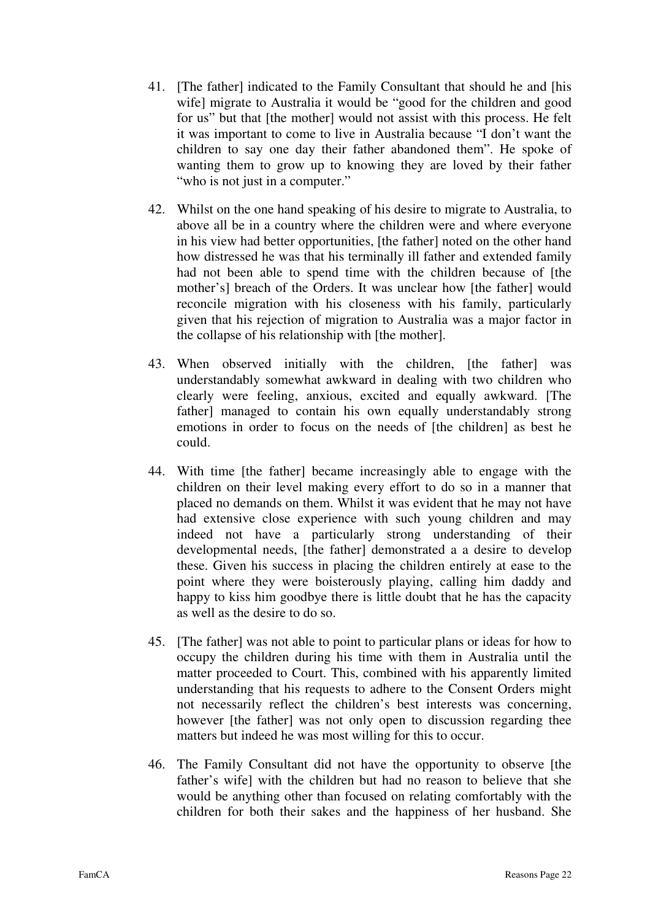- 41. [The father] indicated to the Family Consultant that should he and [his wife] migrate to Australia it would be "good for the children and good for us" but that [the mother] would not assist with this process. He felt it was important to come to live in Australia because "I don't want the children to say one day their father abandoned them". He spoke of wanting them to grow up to knowing they are loved by their father "who is not just in a computer."
- 42. Whilst on the one hand speaking of his desire to migrate to Australia, to above all be in a country where the children were and where everyone in his view had better opportunities, [the father] noted on the other hand how distressed he was that his terminally ill father and extended family had not been able to spend time with the children because of [the mother's] breach of the Orders. It was unclear how [the father] would reconcile migration with his closeness with his family, particularly given that his rejection of migration to Australia was a major factor in the collapse of his relationship with [the mother].
- 43. When observed initially with the children, [the father] was understandably somewhat awkward in dealing with two children who clearly were feeling, anxious, excited and equally awkward. [The father] managed to contain his own equally understandably strong emotions in order to focus on the needs of [the children] as best he could.
- 44. With time [the father] became increasingly able to engage with the children on their level making every effort to do so in a manner that placed no demands on them. Whilst it was evident that he may not have had extensive close experience with such young children and may indeed not have a particularly strong understanding of their developmental needs, [the father] demonstrated a a desire to develop these. Given his success in placing the children entirely at ease to the point where they were boisterously playing, calling him daddy and happy to kiss him goodbye there is little doubt that he has the capacity as well as the desire to do so.
- 45. [The father] was not able to point to particular plans or ideas for how to occupy the children during his time with them in Australia until the matter proceeded to Court. This, combined with his apparently limited understanding that his requests to adhere to the Consent Orders might not necessarily reflect the children's best interests was concerning, however [the father] was not only open to discussion regarding thee matters but indeed he was most willing for this to occur.
- 46. The Family Consultant did not have the opportunity to observe [the father's wife] with the children but had no reason to believe that she would be anything other than focused on relating comfortably with the children for both their sakes and the happiness of her husband. She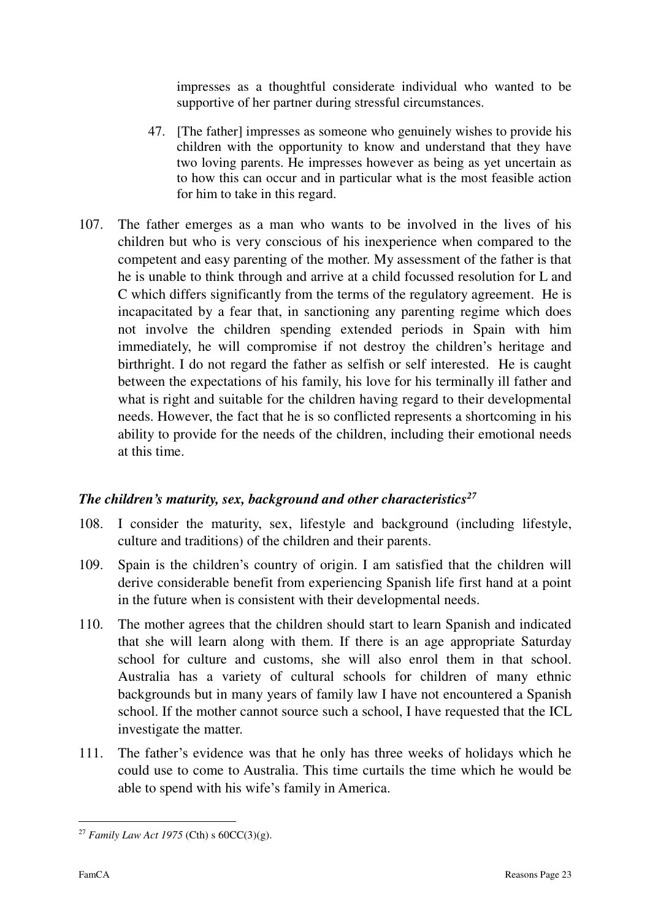impresses as a thoughtful considerate individual who wanted to be supportive of her partner during stressful circumstances.

- 47. [The father] impresses as someone who genuinely wishes to provide his children with the opportunity to know and understand that they have two loving parents. He impresses however as being as yet uncertain as to how this can occur and in particular what is the most feasible action for him to take in this regard.
- 107. The father emerges as a man who wants to be involved in the lives of his children but who is very conscious of his inexperience when compared to the competent and easy parenting of the mother. My assessment of the father is that he is unable to think through and arrive at a child focussed resolution for L and C which differs significantly from the terms of the regulatory agreement. He is incapacitated by a fear that, in sanctioning any parenting regime which does not involve the children spending extended periods in Spain with him immediately, he will compromise if not destroy the children's heritage and birthright. I do not regard the father as selfish or self interested. He is caught between the expectations of his family, his love for his terminally ill father and what is right and suitable for the children having regard to their developmental needs. However, the fact that he is so conflicted represents a shortcoming in his ability to provide for the needs of the children, including their emotional needs at this time.

## *The children's maturity, sex, background and other characteristics<sup>27</sup>*

- 108. I consider the maturity, sex, lifestyle and background (including lifestyle, culture and traditions) of the children and their parents.
- 109. Spain is the children's country of origin. I am satisfied that the children will derive considerable benefit from experiencing Spanish life first hand at a point in the future when is consistent with their developmental needs.
- 110. The mother agrees that the children should start to learn Spanish and indicated that she will learn along with them. If there is an age appropriate Saturday school for culture and customs, she will also enrol them in that school. Australia has a variety of cultural schools for children of many ethnic backgrounds but in many years of family law I have not encountered a Spanish school. If the mother cannot source such a school, I have requested that the ICL investigate the matter.
- 111. The father's evidence was that he only has three weeks of holidays which he could use to come to Australia. This time curtails the time which he would be able to spend with his wife's family in America.

 $\overline{a}$ <sup>27</sup> *Family Law Act 1975* (Cth) s 60CC(3)(g).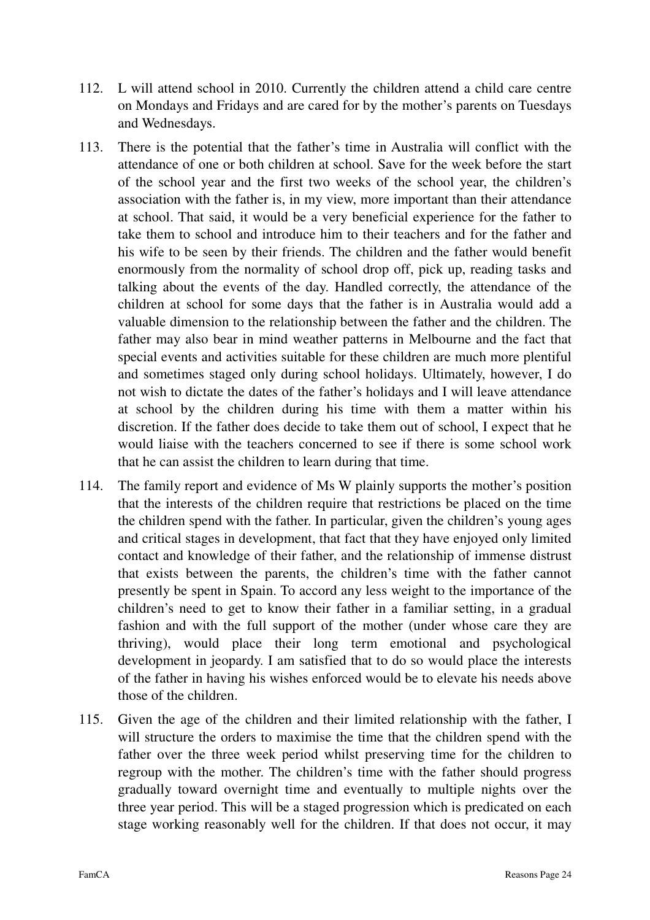- 112. L will attend school in 2010. Currently the children attend a child care centre on Mondays and Fridays and are cared for by the mother's parents on Tuesdays and Wednesdays.
- 113. There is the potential that the father's time in Australia will conflict with the attendance of one or both children at school. Save for the week before the start of the school year and the first two weeks of the school year, the children's association with the father is, in my view, more important than their attendance at school. That said, it would be a very beneficial experience for the father to take them to school and introduce him to their teachers and for the father and his wife to be seen by their friends. The children and the father would benefit enormously from the normality of school drop off, pick up, reading tasks and talking about the events of the day. Handled correctly, the attendance of the children at school for some days that the father is in Australia would add a valuable dimension to the relationship between the father and the children. The father may also bear in mind weather patterns in Melbourne and the fact that special events and activities suitable for these children are much more plentiful and sometimes staged only during school holidays. Ultimately, however, I do not wish to dictate the dates of the father's holidays and I will leave attendance at school by the children during his time with them a matter within his discretion. If the father does decide to take them out of school, I expect that he would liaise with the teachers concerned to see if there is some school work that he can assist the children to learn during that time.
- 114. The family report and evidence of Ms W plainly supports the mother's position that the interests of the children require that restrictions be placed on the time the children spend with the father. In particular, given the children's young ages and critical stages in development, that fact that they have enjoyed only limited contact and knowledge of their father, and the relationship of immense distrust that exists between the parents, the children's time with the father cannot presently be spent in Spain. To accord any less weight to the importance of the children's need to get to know their father in a familiar setting, in a gradual fashion and with the full support of the mother (under whose care they are thriving), would place their long term emotional and psychological development in jeopardy. I am satisfied that to do so would place the interests of the father in having his wishes enforced would be to elevate his needs above those of the children.
- 115. Given the age of the children and their limited relationship with the father, I will structure the orders to maximise the time that the children spend with the father over the three week period whilst preserving time for the children to regroup with the mother. The children's time with the father should progress gradually toward overnight time and eventually to multiple nights over the three year period. This will be a staged progression which is predicated on each stage working reasonably well for the children. If that does not occur, it may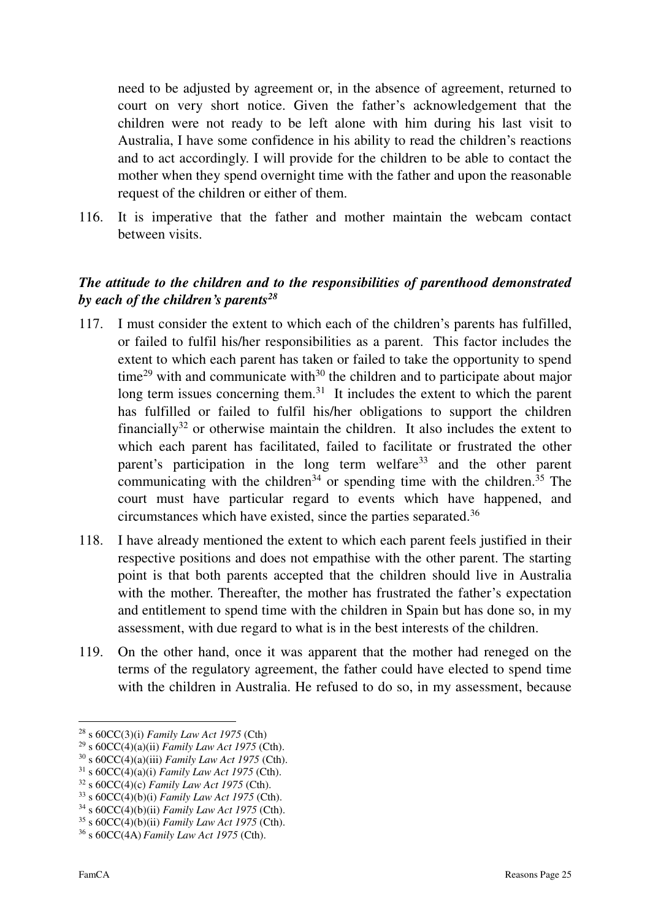need to be adjusted by agreement or, in the absence of agreement, returned to court on very short notice. Given the father's acknowledgement that the children were not ready to be left alone with him during his last visit to Australia, I have some confidence in his ability to read the children's reactions and to act accordingly. I will provide for the children to be able to contact the mother when they spend overnight time with the father and upon the reasonable request of the children or either of them.

116. It is imperative that the father and mother maintain the webcam contact between visits.

## *The attitude to the children and to the responsibilities of parenthood demonstrated by each of the children's parents<sup>28</sup>*

- 117. I must consider the extent to which each of the children's parents has fulfilled, or failed to fulfil his/her responsibilities as a parent. This factor includes the extent to which each parent has taken or failed to take the opportunity to spend time<sup>29</sup> with and communicate with<sup>30</sup> the children and to participate about major long term issues concerning them.<sup>31</sup> It includes the extent to which the parent has fulfilled or failed to fulfil his/her obligations to support the children financially<sup>32</sup> or otherwise maintain the children. It also includes the extent to which each parent has facilitated, failed to facilitate or frustrated the other parent's participation in the long term welfare<sup>33</sup> and the other parent communicating with the children<sup>34</sup> or spending time with the children.<sup>35</sup> The court must have particular regard to events which have happened, and circumstances which have existed, since the parties separated.<sup>36</sup>
- 118. I have already mentioned the extent to which each parent feels justified in their respective positions and does not empathise with the other parent. The starting point is that both parents accepted that the children should live in Australia with the mother. Thereafter, the mother has frustrated the father's expectation and entitlement to spend time with the children in Spain but has done so, in my assessment, with due regard to what is in the best interests of the children.
- 119. On the other hand, once it was apparent that the mother had reneged on the terms of the regulatory agreement, the father could have elected to spend time with the children in Australia. He refused to do so, in my assessment, because

<sup>28</sup> s 60CC(3)(i) *Family Law Act 1975* (Cth)

<sup>29</sup> s 60CC(4)(a)(ii) *Family Law Act 1975* (Cth).

<sup>30</sup> s 60CC(4)(a)(iii) *Family Law Act 1975* (Cth).

<sup>31</sup> s 60CC(4)(a)(i) *Family Law Act 1975* (Cth).

<sup>32</sup> s 60CC(4)(c) *Family Law Act 1975* (Cth).

<sup>33</sup> s 60CC(4)(b)(i) *Family Law Act 1975* (Cth).

<sup>34</sup> s 60CC(4)(b)(ii) *Family Law Act 1975* (Cth).

<sup>35</sup> s 60CC(4)(b)(ii) *Family Law Act 1975* (Cth).

<sup>36</sup> s 60CC(4A) *Family Law Act 1975* (Cth).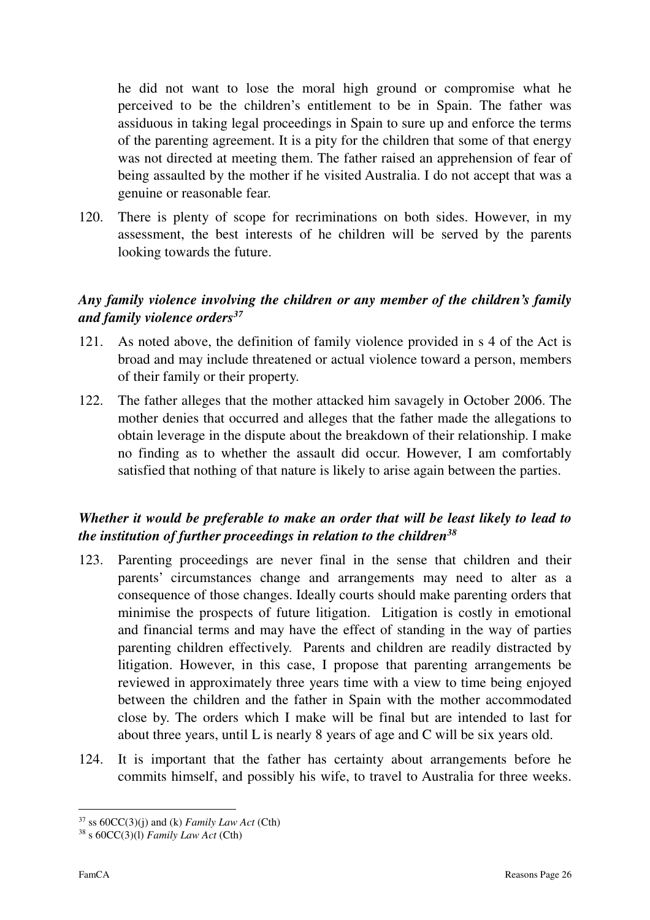he did not want to lose the moral high ground or compromise what he perceived to be the children's entitlement to be in Spain. The father was assiduous in taking legal proceedings in Spain to sure up and enforce the terms of the parenting agreement. It is a pity for the children that some of that energy was not directed at meeting them. The father raised an apprehension of fear of being assaulted by the mother if he visited Australia. I do not accept that was a genuine or reasonable fear.

120. There is plenty of scope for recriminations on both sides. However, in my assessment, the best interests of he children will be served by the parents looking towards the future.

## *Any family violence involving the children or any member of the children's family and family violence orders<sup>37</sup>*

- 121. As noted above, the definition of family violence provided in s 4 of the Act is broad and may include threatened or actual violence toward a person, members of their family or their property.
- 122. The father alleges that the mother attacked him savagely in October 2006. The mother denies that occurred and alleges that the father made the allegations to obtain leverage in the dispute about the breakdown of their relationship. I make no finding as to whether the assault did occur. However, I am comfortably satisfied that nothing of that nature is likely to arise again between the parties.

## *Whether it would be preferable to make an order that will be least likely to lead to the institution of further proceedings in relation to the children<sup>38</sup>*

- 123. Parenting proceedings are never final in the sense that children and their parents' circumstances change and arrangements may need to alter as a consequence of those changes. Ideally courts should make parenting orders that minimise the prospects of future litigation. Litigation is costly in emotional and financial terms and may have the effect of standing in the way of parties parenting children effectively. Parents and children are readily distracted by litigation. However, in this case, I propose that parenting arrangements be reviewed in approximately three years time with a view to time being enjoyed between the children and the father in Spain with the mother accommodated close by. The orders which I make will be final but are intended to last for about three years, until L is nearly 8 years of age and C will be six years old.
- 124. It is important that the father has certainty about arrangements before he commits himself, and possibly his wife, to travel to Australia for three weeks.

 $\overline{a}$  $37$  ss  $60CC(3)(j)$  and (k) *Family Law Act* (Cth)

<sup>38</sup> s 60CC(3)(l) *Family Law Act* (Cth)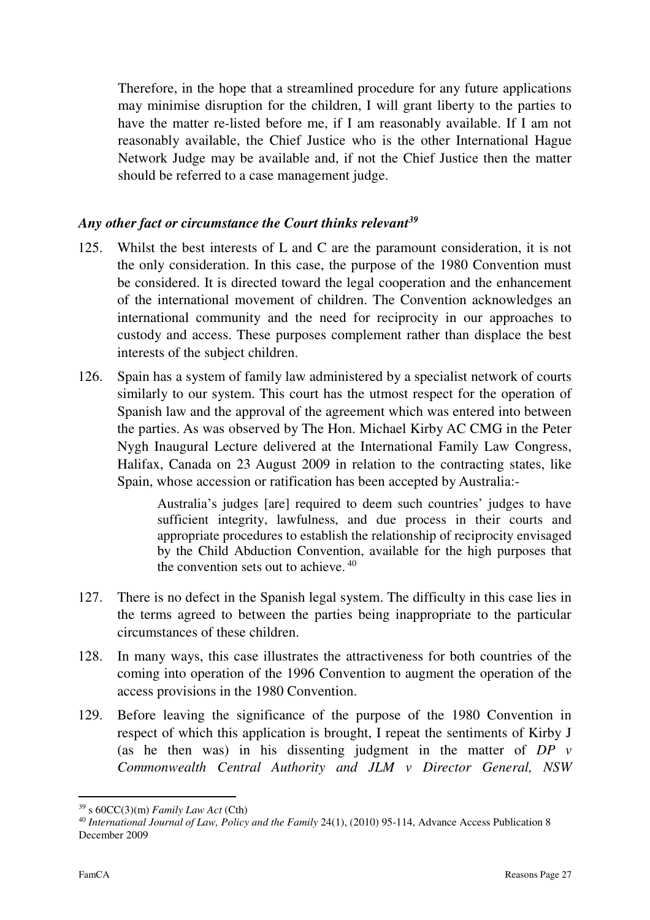Therefore, in the hope that a streamlined procedure for any future applications may minimise disruption for the children, I will grant liberty to the parties to have the matter re-listed before me, if I am reasonably available. If I am not reasonably available, the Chief Justice who is the other International Hague Network Judge may be available and, if not the Chief Justice then the matter should be referred to a case management judge.

#### *Any other fact or circumstance the Court thinks relevant<sup>39</sup>*

- 125. Whilst the best interests of L and C are the paramount consideration, it is not the only consideration. In this case, the purpose of the 1980 Convention must be considered. It is directed toward the legal cooperation and the enhancement of the international movement of children. The Convention acknowledges an international community and the need for reciprocity in our approaches to custody and access. These purposes complement rather than displace the best interests of the subject children.
- 126. Spain has a system of family law administered by a specialist network of courts similarly to our system. This court has the utmost respect for the operation of Spanish law and the approval of the agreement which was entered into between the parties. As was observed by The Hon. Michael Kirby AC CMG in the Peter Nygh Inaugural Lecture delivered at the International Family Law Congress, Halifax, Canada on 23 August 2009 in relation to the contracting states, like Spain, whose accession or ratification has been accepted by Australia:-

Australia's judges [are] required to deem such countries' judges to have sufficient integrity, lawfulness, and due process in their courts and appropriate procedures to establish the relationship of reciprocity envisaged by the Child Abduction Convention, available for the high purposes that the convention sets out to achieve.  $40$ 

- 127. There is no defect in the Spanish legal system. The difficulty in this case lies in the terms agreed to between the parties being inappropriate to the particular circumstances of these children.
- 128. In many ways, this case illustrates the attractiveness for both countries of the coming into operation of the 1996 Convention to augment the operation of the access provisions in the 1980 Convention.
- 129. Before leaving the significance of the purpose of the 1980 Convention in respect of which this application is brought, I repeat the sentiments of Kirby J (as he then was) in his dissenting judgment in the matter of *DP v Commonwealth Central Authority and JLM v Director General, NSW*

 $\overline{a}$ <sup>39</sup> s 60CC(3)(m) *Family Law Act* (Cth)

<sup>40</sup> *International Journal of Law, Policy and the Family* 24(1), (2010) 95-114, Advance Access Publication 8 December 2009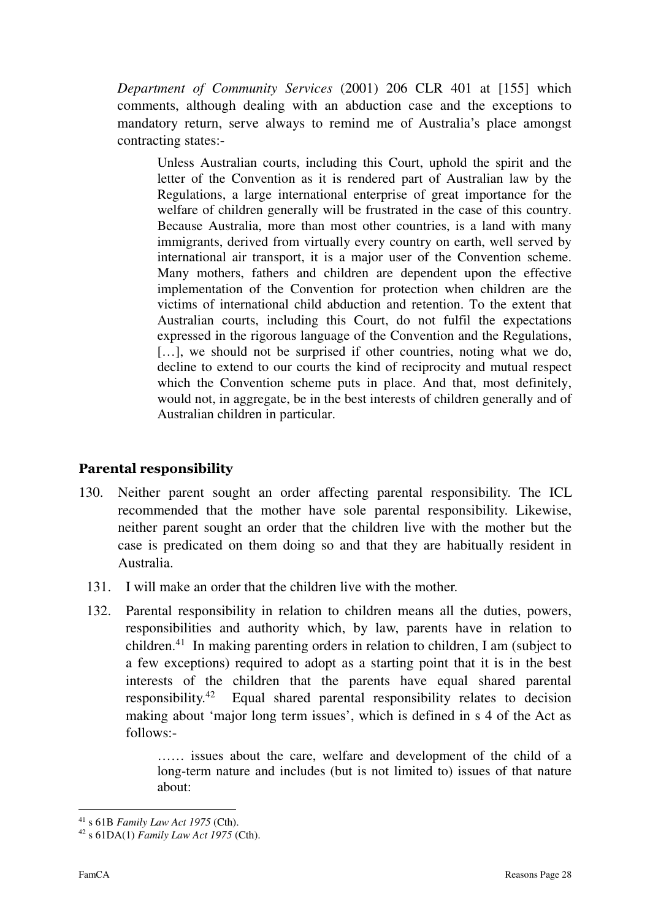*Department of Community Services* (2001) 206 CLR 401 at [155] which comments, although dealing with an abduction case and the exceptions to mandatory return, serve always to remind me of Australia's place amongst contracting states:-

Unless Australian courts, including this Court, uphold the spirit and the letter of the Convention as it is rendered part of Australian law by the Regulations, a large international enterprise of great importance for the welfare of children generally will be frustrated in the case of this country. Because Australia, more than most other countries, is a land with many immigrants, derived from virtually every country on earth, well served by international air transport, it is a major user of the Convention scheme. Many mothers, fathers and children are dependent upon the effective implementation of the Convention for protection when children are the victims of international child abduction and retention. To the extent that Australian courts, including this Court, do not fulfil the expectations expressed in the rigorous language of the Convention and the Regulations, [...], we should not be surprised if other countries, noting what we do, decline to extend to our courts the kind of reciprocity and mutual respect which the Convention scheme puts in place. And that, most definitely, would not, in aggregate, be in the best interests of children generally and of Australian children in particular.

## Parental responsibility

- 130. Neither parent sought an order affecting parental responsibility. The ICL recommended that the mother have sole parental responsibility. Likewise, neither parent sought an order that the children live with the mother but the case is predicated on them doing so and that they are habitually resident in Australia.
	- 131. I will make an order that the children live with the mother.
	- 132. Parental responsibility in relation to children means all the duties, powers, responsibilities and authority which, by law, parents have in relation to children.<sup>41</sup> In making parenting orders in relation to children, I am (subject to a few exceptions) required to adopt as a starting point that it is in the best interests of the children that the parents have equal shared parental responsibility.<sup>42</sup> Equal shared parental responsibility relates to decision making about 'major long term issues', which is defined in s 4 of the Act as follows:-

…… issues about the care, welfare and development of the child of a long-term nature and includes (but is not limited to) issues of that nature about:

 $\overline{a}$ <sup>41</sup> s 61B *Family Law Act 1975* (Cth).

<sup>42</sup> s 61DA(1) *Family Law Act 1975* (Cth).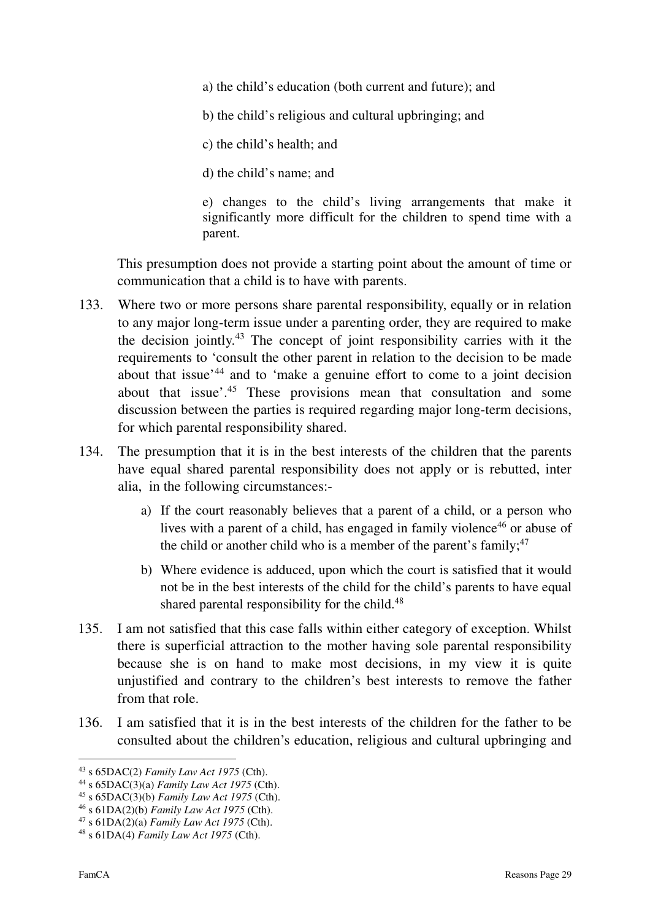a) the child's education (both current and future); and

b) the child's religious and cultural upbringing; and

c) the child's health; and

d) the child's name; and

e) changes to the child's living arrangements that make it significantly more difficult for the children to spend time with a parent.

This presumption does not provide a starting point about the amount of time or communication that a child is to have with parents.

- 133. Where two or more persons share parental responsibility, equally or in relation to any major long-term issue under a parenting order, they are required to make the decision jointly.<sup>43</sup> The concept of joint responsibility carries with it the requirements to 'consult the other parent in relation to the decision to be made about that issue'<sup>44</sup> and to 'make a genuine effort to come to a joint decision about that issue'.<sup>45</sup> These provisions mean that consultation and some discussion between the parties is required regarding major long-term decisions, for which parental responsibility shared.
- 134. The presumption that it is in the best interests of the children that the parents have equal shared parental responsibility does not apply or is rebutted, inter alia, in the following circumstances:
	- a) If the court reasonably believes that a parent of a child, or a person who lives with a parent of a child, has engaged in family violence<sup>46</sup> or abuse of the child or another child who is a member of the parent's family;  $47$
	- b) Where evidence is adduced, upon which the court is satisfied that it would not be in the best interests of the child for the child's parents to have equal shared parental responsibility for the child.<sup>48</sup>
- 135. I am not satisfied that this case falls within either category of exception. Whilst there is superficial attraction to the mother having sole parental responsibility because she is on hand to make most decisions, in my view it is quite unjustified and contrary to the children's best interests to remove the father from that role.
- 136. I am satisfied that it is in the best interests of the children for the father to be consulted about the children's education, religious and cultural upbringing and

<sup>43</sup> s 65DAC(2) *Family Law Act 1975* (Cth).

<sup>44</sup> s 65DAC(3)(a) *Family Law Act 1975* (Cth).

<sup>45</sup> s 65DAC(3)(b) *Family Law Act 1975* (Cth).

<sup>46</sup> s 61DA(2)(b) *Family Law Act 1975* (Cth).

<sup>47</sup> s 61DA(2)(a) *Family Law Act 1975* (Cth).

<sup>48</sup> s 61DA(4) *Family Law Act 1975* (Cth).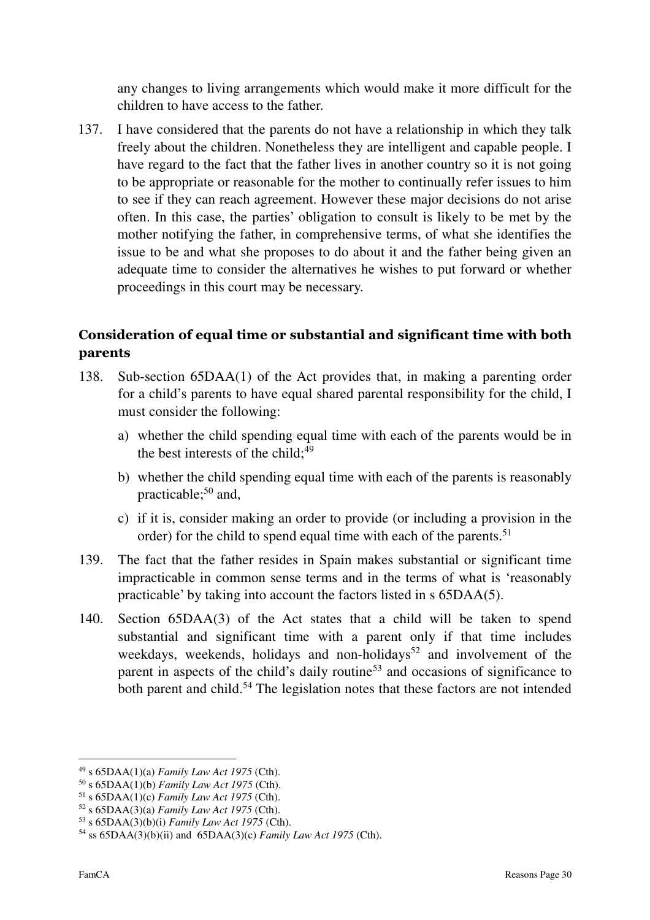any changes to living arrangements which would make it more difficult for the children to have access to the father.

137. I have considered that the parents do not have a relationship in which they talk freely about the children. Nonetheless they are intelligent and capable people. I have regard to the fact that the father lives in another country so it is not going to be appropriate or reasonable for the mother to continually refer issues to him to see if they can reach agreement. However these major decisions do not arise often. In this case, the parties' obligation to consult is likely to be met by the mother notifying the father, in comprehensive terms, of what she identifies the issue to be and what she proposes to do about it and the father being given an adequate time to consider the alternatives he wishes to put forward or whether proceedings in this court may be necessary.

## Consideration of equal time or substantial and significant time with both parents

- 138. Sub-section 65DAA(1) of the Act provides that, in making a parenting order for a child's parents to have equal shared parental responsibility for the child, I must consider the following:
	- a) whether the child spending equal time with each of the parents would be in the best interests of the child; $49$
	- b) whether the child spending equal time with each of the parents is reasonably practicable; $50$  and,
	- c) if it is, consider making an order to provide (or including a provision in the order) for the child to spend equal time with each of the parents.<sup>51</sup>
- 139. The fact that the father resides in Spain makes substantial or significant time impracticable in common sense terms and in the terms of what is 'reasonably practicable' by taking into account the factors listed in s 65DAA(5).
- 140. Section 65DAA(3) of the Act states that a child will be taken to spend substantial and significant time with a parent only if that time includes weekdays, weekends, holidays and non-holidays<sup>52</sup> and involvement of the parent in aspects of the child's daily routine<sup>53</sup> and occasions of significance to both parent and child.<sup>54</sup> The legislation notes that these factors are not intended

<sup>49</sup> s 65DAA(1)(a) *Family Law Act 1975* (Cth).

<sup>50</sup> s 65DAA(1)(b) *Family Law Act 1975* (Cth).

<sup>51</sup> s 65DAA(1)(c) *Family Law Act 1975* (Cth).

<sup>52</sup> s 65DAA(3)(a) *Family Law Act 1975* (Cth).

<sup>53</sup> s 65DAA(3)(b)(i) *Family Law Act 1975* (Cth).

<sup>54</sup> ss 65DAA(3)(b)(ii) and 65DAA(3)(c) *Family Law Act 1975* (Cth).